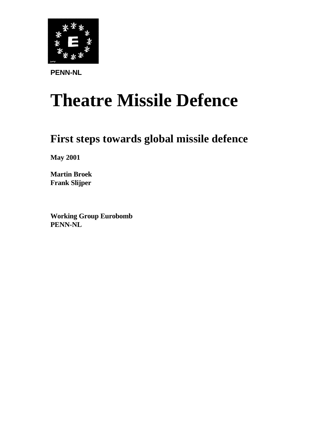

**PENN-NL**

# **Theatre Missile Defence**

# **First steps towards global missile defence**

**May 2001**

**Martin Broek Frank Slijper**

**Working Group Eurobomb PENN-NL**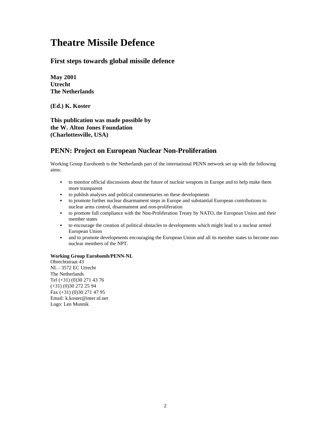# **Theatre Missile Defence**

#### **First steps towards global missile defence**

**May 2001 Utrecht The Netherlands**

**(Ed.) K. Koster**

**This publication was made possible by the W. Alton Jones Foundation (Charlottesville, USA)**

#### **PENN: Project on European Nuclear Non-Proliferation**

Working Group Eurobomb is the Netherlands part of the international PENN network set up with the following aims:

- to monitor official discussions about the future of nuclear weapons in Europe and to help make them more transparent
- to publish analyses and political commentaries on these developments
- to promote further nuclear disarmament steps in Europe and substantial European contributions to nuclear arms control, disarmament and non-proliferation
- to promote full compliance with the Non-Proliferation Treaty by NATO, the European Union and their member states
- to encourage the creation of political obstacles to developments which might lead to a nuclear armed European Union
- and to promote developments encouraging the European Union and all its member states to become nonnuclear members of the NPT.

#### **Working Group Eurobomb/PENN-NL**

Obrechtstraat 43 NL - 3572 EC Utrecht The Netherlands Tel (+31) (0)30 271 43 76 (+31) (0)30 272 25 94 Fax (+31) (0)30 271 47 95 Email: k.koster@inter.nl.net Logo: Len Munnik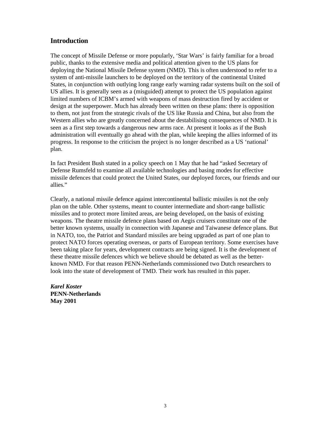#### **Introduction**

The concept of Missile Defense or more popularly, 'Star Wars' is fairly familiar for a broad public, thanks to the extensive media and political attention given to the US plans for deploying the National Missile Defense system (NMD). This is often understood to refer to a system of anti-missile launchers to be deployed on the territory of the continental United States, in conjunction with outlying long range early warning radar systems built on the soil of US allies. It is generally seen as a (misguided) attempt to protect the US population against limited numbers of ICBM's armed with weapons of mass destruction fired by accident or design at the superpower. Much has already been written on these plans: there is opposition to them, not just from the strategic rivals of the US like Russia and China, but also from the Western allies who are greatly concerned about the destabilising consequences of NMD. It is seen as a first step towards a dangerous new arms race. At present it looks as if the Bush administration will eventually go ahead with the plan, while keeping the allies informed of its progress. In response to the criticism the project is no longer described as a US 'national' plan.

In fact President Bush stated in a policy speech on 1 May that he had "asked Secretary of Defense Rumsfeld to examine all available technologies and basing modes for effective missile defences that could protect the United States, our deployed forces, our friends and our allies."

Clearly, a national missile defence against intercontinental ballistic missiles is not the only plan on the table. Other systems, meant to counter intermediate and short-range ballistic missiles and to protect more limited areas, are being developed, on the basis of existing weapons. The theatre missile defence plans based on Aegis cruisers constitute one of the better known systems, usually in connection with Japanese and Taiwanese defence plans. But in NATO, too, the Patriot and Standard missiles are being upgraded as part of one plan to protect NATO forces operating overseas, or parts of European territory. Some exercises have been taking place for years, development contracts are being signed. It is the development of these theatre missile defences which we believe should be debated as well as the betterknown NMD. For that reason PENN-Netherlands commissioned two Dutch researchers to look into the state of development of TMD. Their work has resulted in this paper.

*Karel Koster* **PENN-Netherlands May 2001**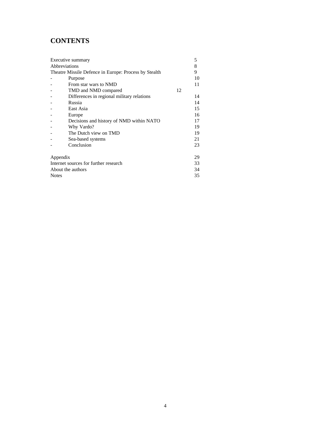## **CONTENTS**

| Executive summary                                     |    | 5  |  |  |
|-------------------------------------------------------|----|----|--|--|
| Abbreviations                                         |    | 8  |  |  |
| Theatre Missile Defence in Europe: Process by Stealth |    | 9  |  |  |
| Purpose                                               |    | 10 |  |  |
| From star wars to NMD                                 |    | 11 |  |  |
| TMD and NMD compared                                  | 12 |    |  |  |
| Differences in regional military relations            |    | 14 |  |  |
| Russia                                                |    | 14 |  |  |
| East Asia                                             |    | 15 |  |  |
| Europe                                                |    | 16 |  |  |
| Decisions and history of NMD within NATO              |    | 17 |  |  |
| Why Vardo?                                            |    | 19 |  |  |
| The Dutch view on TMD                                 |    | 19 |  |  |
| Sea-based systems                                     |    | 21 |  |  |
| Conclusion                                            |    | 23 |  |  |
| Appendix                                              |    | 29 |  |  |
| Internet sources for further research<br>33           |    |    |  |  |
| About the authors                                     |    | 34 |  |  |
| <b>Notes</b><br>35                                    |    |    |  |  |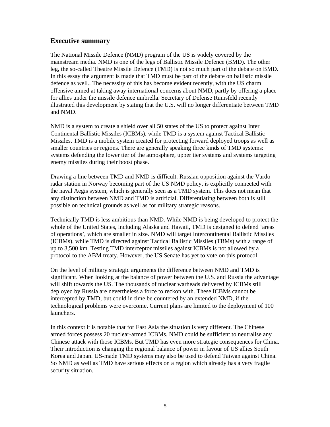#### **Executive summary**

The National Missile Defence (NMD) program of the US is widely covered by the mainstream media. NMD is one of the legs of Ballistic Missile Defence (BMD). The other leg, the so-called Theatre Missile Defence (TMD) is not so much part of the debate on BMD. In this essay the argument is made that TMD must be part of the debate on ballistic missile defence as well.. The necessity of this has become evident recently, with the US charm offensive aimed at taking away international concerns about NMD, partly by offering a place for allies under the missile defence umbrella. Secretary of Defense Rumsfeld recently illustrated this development by stating that the U.S. will no longer differentiate between TMD and NMD.

NMD is a system to create a shield over all 50 states of the US to protect against Inter Continental Ballistic Missiles (ICBMs), while TMD is a system against Tactical Ballistic Missiles. TMD is a mobile system created for protecting forward deployed troops as well as smaller countries or regions. There are generally speaking three kinds of TMD systems: systems defending the lower tier of the atmosphere, upper tier systems and systems targeting enemy missiles during their boost phase.

Drawing a line between TMD and NMD is difficult. Russian opposition against the Vardo radar station in Norway becoming part of the US NMD policy, is explicitly connected with the naval Aegis system, which is generally seen as a TMD system. This does not mean that any distinction between NMD and TMD is artificial. Differentiating between both is still possible on technical grounds as well as for military strategic reasons.

Technically TMD is less ambitious than NMD. While NMD is being developed to protect the whole of the United States, including Alaska and Hawaii, TMD is designed to defend 'areas of operations', which are smaller in size. NMD will target Intercontinental Ballistic Missiles (ICBMs), while TMD is directed against Tactical Ballistic Missiles (TBMs) with a range of up to 3,500 km. Testing TMD interceptor missiles against ICBMs is not allowed by a protocol to the ABM treaty. However, the US Senate has yet to vote on this protocol.

On the level of military strategic arguments the difference between NMD and TMD is significant. When looking at the balance of power between the U.S. and Russia the advantage will shift towards the US. The thousands of nuclear warheads delivered by ICBMs still deployed by Russia are nevertheless a force to reckon with. These ICBMs cannot be intercepted by TMD, but could in time be countered by an extended NMD, if the technological problems were overcome. Current plans are limited to the deployment of 100 launchers.

In this context it is notable that for East Asia the situation is very different. The Chinese armed forces possess 20 nuclear-armed ICBMs. NMD could be sufficient to neutralise any Chinese attack with those ICBMs. But TMD has even more strategic consequences for China. Their introduction is changing the regional balance of power in favour of US allies South Korea and Japan. US-made TMD systems may also be used to defend Taiwan against China. So NMD as well as TMD have serious effects on a region which already has a very fragile security situation.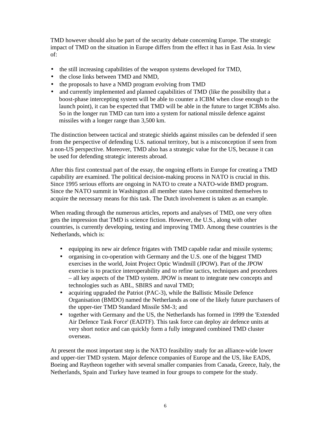TMD however should also be part of the security debate concerning Europe. The strategic impact of TMD on the situation in Europe differs from the effect it has in East Asia. In view of:

- the still increasing capabilities of the weapon systems developed for TMD,
- the close links between TMD and NMD,
- the proposals to have a NMD program evolving from TMD
- and currently implemented and planned capabilities of TMD (like the possibility that a boost-phase intercepting system will be able to counter a ICBM when close enough to the launch point), it can be expected that TMD will be able in the future to target ICBMs also. So in the longer run TMD can turn into a system for national missile defence against missiles with a longer range than 3,500 km.

The distinction between tactical and strategic shields against missiles can be defended if seen from the perspective of defending U.S. national territory, but is a misconception if seen from a non-US perspective. Moreover, TMD also has a strategic value for the US, because it can be used for defending strategic interests abroad.

After this first contextual part of the essay, the ongoing efforts in Europe for creating a TMD capability are examined. The political decision-making process in NATO is crucial in this. Since 1995 serious efforts are ongoing in NATO to create a NATO-wide BMD program. Since the NATO summit in Washington all member states have committed themselves to acquire the necessary means for this task. The Dutch involvement is taken as an example.

When reading through the numerous articles, reports and analyses of TMD, one very often gets the impression that TMD is science fiction. However, the U.S., along with other countries, is currently developing, testing and improving TMD. Among these countries is the Netherlands, which is:

- equipping its new air defence frigates with TMD capable radar and missile systems;
- organising in co-operation with Germany and the U.S. one of the biggest TMD exercises in the world, Joint Project Optic Windmill (JPOW). Part of the JPOW exercise is to practice interoperability and to refine tactics, techniques and procedures – all key aspects of the TMD system. JPOW is meant to integrate new concepts and technologies such as ABL, SBIRS and naval TMD;
- acquiring upgraded the Patriot (PAC-3), while the Ballistic Missile Defence Organisation (BMDO) named the Netherlands as one of the likely future purchasers of the upper-tier TMD Standard Missile SM-3; and
- together with Germany and the US, the Netherlands has formed in 1999 the 'Extended Air Defence Task Force' (EADTF). This task force can deploy air defence units at very short notice and can quickly form a fully integrated combined TMD cluster overseas.

At present the most important step is the NATO feasibility study for an alliance-wide lower and upper-tier TMD system. Major defence companies of Europe and the US, like EADS, Boeing and Raytheon together with several smaller companies from Canada, Greece, Italy, the Netherlands, Spain and Turkey have teamed in four groups to compete for the study.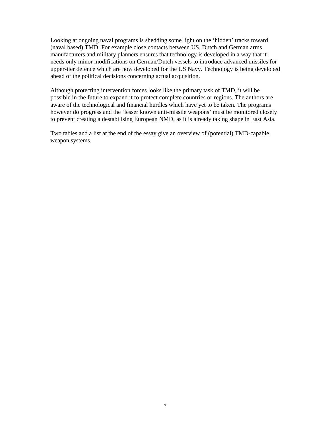Looking at ongoing naval programs is shedding some light on the 'hidden' tracks toward (naval based) TMD. For example close contacts between US, Dutch and German arms manufacturers and military planners ensures that technology is developed in a way that it needs only minor modifications on German/Dutch vessels to introduce advanced missiles for upper-tier defence which are now developed for the US Navy. Technology is being developed ahead of the political decisions concerning actual acquisition.

Although protecting intervention forces looks like the primary task of TMD, it will be possible in the future to expand it to protect complete countries or regions. The authors are aware of the technological and financial hurdles which have yet to be taken. The programs however do progress and the 'lesser known anti-missile weapons' must be monitored closely to prevent creating a destabilising European NMD, as it is already taking shape in East Asia.

Two tables and a list at the end of the essay give an overview of (potential) TMD-capable weapon systems.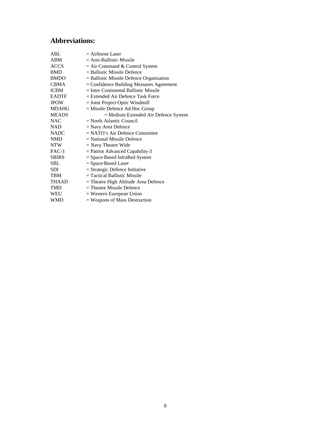### **Abbreviations:**

| ABL          | $=$ Airborne Laser                         |
|--------------|--------------------------------------------|
| <b>ABM</b>   | $=$ Anti-Ballistic Missile                 |
| <b>ACCS</b>  | $=$ Air Command & Control System           |
| <b>BMD</b>   | $=$ Ballistic Missile Defence              |
| <b>BMDO</b>  | $=$ Ballistic Missile Defence Organisation |
| CBMA         | $=$ Confidence Building Measures Agreement |
| ICBM         | $=$ Inter Continental Ballistic Missile    |
| <b>EADTF</b> | $=$ Extended Air Defence Task Force        |
| <b>JPOW</b>  | $=$ Joint Project Optic Windmill           |
| <b>MDAHG</b> | $=$ Missile Defence Ad Hoc Group           |
| <b>MEADS</b> | = Medium Extended Air Defence System       |
| NAC          | $=$ North Atlantic Council                 |
| NAD          | $=$ Navy Area Defence                      |
| NADC         | $=$ NATO's Air Defence Committee           |
| <b>NMD</b>   | $=$ National Missile Defence               |
| NTW          | $=$ Navy Theatre Wide                      |
| PAC-3        | $=$ Patriot Advanced Capability-3          |
| <b>SBIRS</b> | = Space-Based InfraRed System              |
| SBL.         | $=$ Space-Based Laser                      |
| SDI          | $=$ Strategic Defence Initiative           |
| TBM          | $=$ Tactical Ballistic Missile             |
| THAAD        | $=$ Theatre High Altitude Area Defence     |
| TMD          | $=$ Theatre Missile Defence                |
| WEU          | $=$ Western European Union                 |
| WMD          | $=$ Weapons of Mass Destruction            |
|              |                                            |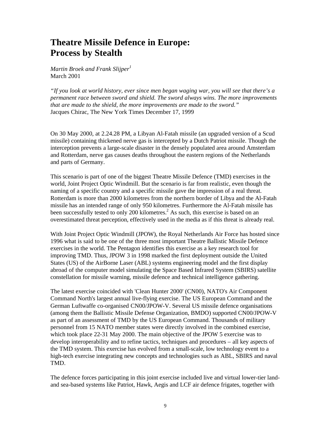# **Theatre Missile Defence in Europe: Process by Stealth**

*Martin Broek and Frank Slijper<sup>1</sup>* March 2001

*"If you look at world history, ever since men began waging war, you will see that there's a permanent race between sword and shield. The sword always wins. The more improvements that are made to the shield, the more improvements are made to the sword."* Jacques Chirac, The New York Times December 17, 1999

On 30 May 2000, at 2.24.28 PM, a Libyan Al-Fatah missile (an upgraded version of a Scud missile) containing thickened nerve gas is intercepted by a Dutch Patriot missile. Though the interception prevents a large-scale disaster in the densely populated area around Amsterdam and Rotterdam, nerve gas causes deaths throughout the eastern regions of the Netherlands and parts of Germany.

This scenario is part of one of the biggest Theatre Missile Defence (TMD) exercises in the world, Joint Project Optic Windmill. But the scenario is far from realistic, even though the naming of a specific country and a specific missile gave the impression of a real threat. Rotterdam is more than 2000 kilometres from the northern border of Libya and the Al-Fatah missile has an intended range of only 950 kilometres. Furthermore the Al-Fatah missile has been successfully tested to only 200 kilometres.<sup>2</sup> As such, this exercise is based on an overestimated threat perception, effectively used in the media as if this threat is already real.

With Joint Project Optic Windmill (JPOW), the Royal Netherlands Air Force has hosted since 1996 what is said to be one of the three most important Theatre Ballistic Missile Defence exercises in the world. The Pentagon identifies this exercise as a key research tool for improving TMD. Thus, JPOW 3 in 1998 marked the first deployment outside the United States (US) of the AirBorne Laser (ABL) systems engineering model and the first display abroad of the computer model simulating the Space Based Infrared System (SBIRS) satellite constellation for missile warning, missile defence and technical intelligence gathering.

The latest exercise coincided with 'Clean Hunter 2000' (CN00), NATO's Air Component Command North's largest annual live-flying exercise. The US European Command and the German Luftwaffe co-organised CN00/JPOW-V. Several US missile defence organisations (among them the Ballistic Missile Defense Organization, BMDO) supported CN00/JPOW-V as part of an assessment of TMD by the US European Command. Thousands of military personnel from 15 NATO member states were directly involved in the combined exercise, which took place 22-31 May 2000. The main objective of the JPOW 5 exercise was to develop interoperability and to refine tactics, techniques and procedures – all key aspects of the TMD system. This exercise has evolved from a small-scale, low technology event to a high-tech exercise integrating new concepts and technologies such as ABL, SBIRS and naval TMD.

The defence forces participating in this joint exercise included live and virtual lower-tier landand sea-based systems like Patriot, Hawk, Aegis and LCF air defence frigates, together with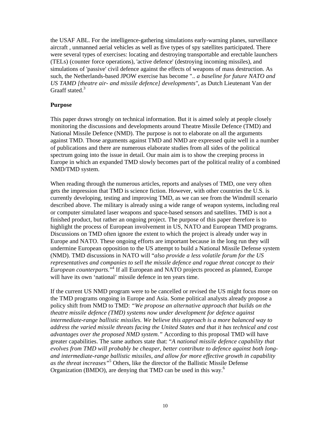the USAF ABL. For the intelligence-gathering simulations early-warning planes, surveillance aircraft , unmanned aerial vehicles as well as five types of spy satellites participated. There were several types of exercises: locating and destroying transportable and erectable launchers (TELs) (counter force operations), 'active defence' (destroying incoming missiles), and simulations of 'passive' civil defence against the effects of weapons of mass destruction. As such, the Netherlands-based JPOW exercise has become ".. *a baseline for future NATO and US TAMD [theatre air- and missile defence] developments"*, as Dutch Lieutenant Van der Graaff stated<sup>3</sup>

#### **Purpose**

This paper draws strongly on technical information. But it is aimed solely at people closely monitoring the discussions and developments around Theatre Missile Defence (TMD) and National Missile Defence (NMD). The purpose is not to elaborate on all the arguments against TMD. Those arguments against TMD and NMD are expressed quite well in a number of publications and there are numerous elaborate studies from all sides of the political spectrum going into the issue in detail. Our main aim is to show the creeping process in Europe in which an expanded TMD slowly becomes part of the political reality of a combined NMD/TMD system.

When reading through the numerous articles, reports and analyses of TMD, one very often gets the impression that TMD is science fiction. However, with other countries the U.S. is currently developing, testing and improving TMD, as we can see from the Windmill scenario described above. The military is already using a wide range of weapon systems, including real or computer simulated laser weapons and space-based sensors and satellites. TMD is not a finished product, but rather an ongoing project. The purpose of this paper therefore is to highlight the process of European involvement in US, NATO and European TMD programs. Discussions on TMD often ignore the extent to which the project is already under way in Europe and NATO. These ongoing efforts are important because in the long run they will undermine European opposition to the US attempt to build a National Missile Defense system (NMD). TMD discussions in NATO will "*also provide a less volatile forum for the US representatives and companies to sell the missile defence and rogue threat concept to their European counterparts.*" 4 If all European and NATO projects proceed as planned, Europe will have its own 'national' missile defence in ten years time.

If the current US NMD program were to be cancelled or revised the US might focus more on the TMD programs ongoing in Europe and Asia. Some political analysts already propose a policy shift from NMD to TMD: *"We propose an alternative approach that builds on the theatre missile defence (TMD) systems now under development for defence against intermediate-range ballistic missiles. We believe this approach is a more balanced way to address the varied missile threats facing the United States and that it has technical and cost advantages over the proposed NMD system."* According to this proposal TMD will have greater capabilities. The same authors state that: "*A national missile defence capability that evolves from TMD will probably be cheaper, better contribute to defence against both longand intermediate-range ballistic missiles, and allow for more effective growth in capability as the threat increases"*<sup>5</sup> Others, like the director of the Ballistic Missile Defense Organization (BMDO), are denying that TMD can be used in this way.<sup>6</sup>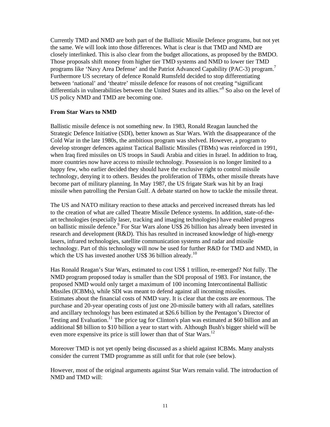Currently TMD and NMD are both part of the Ballistic Missile Defence programs, but not yet the same. We will look into those differences. What is clear is that TMD and NMD are closely interlinked. This is also clear from the budget allocations, as proposed by the BMDO. Those proposals shift money from higher tier TMD systems and NMD to lower tier TMD programs like 'Navy Area Defense' and the Patriot Advanced Capability (PAC-3) program.<sup>7</sup> Furthermore US secretary of defence Ronald Rumsfeld decided to stop differentiating between 'national' and 'theatre' missile defence for reasons of not creating "significant differentials in vulnerabilities between the United States and its allies."<sup>8</sup> So also on the level of US policy NMD and TMD are becoming one.

#### **From Star Wars to NMD**

Ballistic missile defence is not something new. In 1983, Ronald Reagan launched the Strategic Defence Initiative (SDI), better known as Star Wars. With the disappearance of the Cold War in the late 1980s, the ambitious program was shelved. However, a program to develop stronger defences against Tactical Ballistic Missiles (TBMs) was reinforced in 1991, when Iraq fired missiles on US troops in Saudi Arabia and cities in Israel. In addition to Iraq, more countries now have access to missile technology. Possession is no longer limited to a happy few, who earlier decided they should have the exclusive right to control missile technology, denying it to others. Besides the proliferation of TBMs, other missile threats have become part of military planning. In May 1987, the US frigate Stark was hit by an Iraqi missile when patrolling the Persian Gulf. A debate started on how to tackle the missile threat.

The US and NATO military reaction to these attacks and perceived increased threats has led to the creation of what are called Theatre Missile Defence systems. In addition, state-of-theart technologies (especially laser, tracking and imaging technologies) have enabled progress on ballistic missile defence.<sup>9</sup> For Star Wars alone US\$ 26 billion has already been invested in research and development (R&D). This has resulted in increased knowledge of high-energy lasers, infrared technologies, satellite communication systems and radar and missile technology. Part of this technology will now be used for further R&D for TMD and NMD, in which the US has invested another US\$ 36 billion already.<sup>10</sup>

Has Ronald Reagan's Star Wars, estimated to cost US\$ 1 trillion, re-emerged? Not fully. The NMD program proposed today is smaller than the SDI proposal of 1983. For instance, the proposed NMD would only target a maximum of 100 incoming Intercontinental Ballistic Missiles (ICBMs), while SDI was meant to defend against all incoming missiles. Estimates about the financial costs of NMD vary. It is clear that the costs are enormous. The purchase and 20-year operating costs of just one 20-missile battery with all radars, satellites and ancillary technology has been estimated at \$26.6 billion by the Pentagon's Director of Testing and Evaluation.<sup>11</sup> The price tag for Clinton's plan was estimated at \$60 billion and an additional \$8 billion to \$10 billion a year to start with. Although Bush's bigger shield will be even more expensive its price is still lower than that of Star Wars.<sup>12</sup>

Moreover TMD is not yet openly being discussed as a shield against ICBMs. Many analysts consider the current TMD programme as still unfit for that role (see below).

However, most of the original arguments against Star Wars remain valid. The introduction of NMD and TMD will: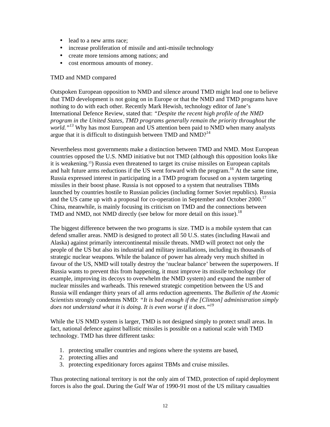- lead to a new arms race;
- increase proliferation of missile and anti-missile technology
- create more tensions among nations; and
- cost enormous amounts of money.

#### TMD and NMD compared

Outspoken European opposition to NMD and silence around TMD might lead one to believe that TMD development is not going on in Europe or that the NMD and TMD programs have nothing to do with each other. Recently Mark Hewish, technology editor of Jane's International Defence Review, stated that: *"Despite the recent high profile of the NMD program in the United States, TMD programs generally remain the priority throughout the world.*"<sup>13</sup> Why has most European and US attention been paid to NMD when many analysts argue that it is difficult to distinguish between TMD and  $NMD$ <sup>14</sup>

Nevertheless most governments make a distinction between TMD and NMD. Most European countries opposed the U.S. NMD initiative but not TMD (although this opposition looks like it is weakening.15) Russia even threatened to target its cruise missiles on European capitals and halt future arms reductions if the US went forward with the program.<sup>16</sup> At the same time, Russia expressed interest in participating in a TMD program focused on a system targeting missiles in their boost phase. Russia is not opposed to a system that neutralises TBMs launched by countries hostile to Russian policies (including former Soviet republics). Russia and the US came up with a proposal for co-operation in September and October 2000.<sup>17</sup> China, meanwhile, is mainly focusing its criticism on TMD and the connections between TMD and NMD, not NMD directly (see below for more detail on this issue).<sup>18</sup>

The biggest difference between the two programs is size. TMD is a mobile system that can defend smaller areas. NMD is designed to protect all 50 U.S. states (including Hawaii and Alaska) against primarily intercontinental missile threats. NMD will protect not only the people of the US but also its industrial and military installations, including its thousands of strategic nuclear weapons. While the balance of power has already very much shifted in favour of the US, NMD will totally destroy the 'nuclear balance' between the superpowers. If Russia wants to prevent this from happening, it must improve its missile technology (for example, improving its decoys to overwhelm the NMD system) and expand the number of nuclear missiles and warheads. This renewed strategic competition between the US and Russia will endanger thirty years of all arms reduction agreements. The *Bulletin of the Atomic Scientists* strongly condemns NMD: *"It is bad enough if the [Clinton] administration simply does not understand what it is doing. It is even worse if it does."<sup>19</sup>*

While the US NMD system is larger, TMD is not designed simply to protect small areas. In fact, national defence against ballistic missiles is possible on a national scale with TMD technology. TMD has three different tasks:

- 1. protecting smaller countries and regions where the systems are based,
- 2. protecting allies and
- 3. protecting expeditionary forces against TBMs and cruise missiles.

Thus protecting national territory is not the only aim of TMD, protection of rapid deployment forces is also the goal. During the Gulf War of 1990-91 most of the US military casualties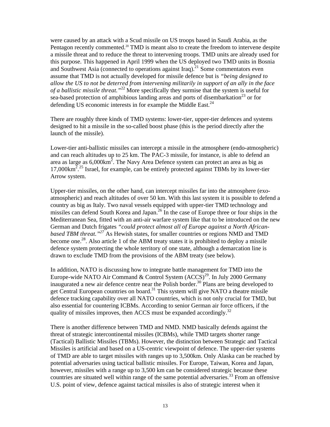were caused by an attack with a Scud missile on US troops based in Saudi Arabia, as the Pentagon recently commented.<sup>20</sup> TMD is meant also to create the freedom to intervene despite a missile threat and to reduce the threat to intervening troops. TMD units are already used for this purpose. This happened in April 1999 when the US deployed two TMD units in Bosnia and Southwest Asia (connected to operations against Iraq).<sup>21</sup> Some commentators even assume that TMD is not actually developed for missile defence but is *"being designed to allow the US to not be deterred from intervening militarily in support of an ally in the face of a ballistic missile threat."*<sup>22</sup> More specifically they surmise that the system is useful for sea-based protection of amphibious landing areas and ports of disembarkation<sup>23</sup> or for defending US economic interests in for example the Middle East.<sup>24</sup>

There are roughly three kinds of TMD systems: lower-tier, upper-tier defences and systems designed to hit a missile in the so-called boost phase (this is the period directly after the launch of the missile).

Lower-tier anti-ballistic missiles can intercept a missile in the atmosphere (endo-atmospheric) and can reach altitudes up to 25 km. The PAC-3 missile, for instance, is able to defend an area as large as  $6,000 \text{km}^2$ . The Navy Area Defence system can protect an area as big as 17,000km<sup>2</sup>.<sup>25</sup> Israel, for example, can be entirely protected against TBMs by its lower-tier Arrow system.

Upper-tier missiles, on the other hand, can intercept missiles far into the atmosphere (exoatmospheric) and reach altitudes of over 50 km. With this last system it is possible to defend a country as big as Italy. Two naval vessels equipped with upper-tier TMD technology and missiles can defend South Korea and Japan.<sup>26</sup> In the case of Europe three or four ships in the Mediterranean Sea, fitted with an anti-air warfare system like that to be introduced on the new German and Dutch frigates *"could protect almost all of Europe against a North Africanbased TBM threat."<sup>27</sup>* As Hewish states, for smaller countries or regions NMD and TMD become one.<sup>28</sup>. Also article 1 of the ABM treaty states it is prohibited to deploy a missile defence system protecting the whole territory of one state, although a demarcation line is drawn to exclude TMD from the provisions of the ABM treaty (see below).

In addition, NATO is discussing how to integrate battle management for TMD into the Europe-wide NATO Air Command & Control System  $(ACCS)^{29}$ . In July 2000 Germany inaugurated a new air defence centre near the Polish border.<sup>30</sup> Plans are being developed to get Central European countries on board.<sup>31</sup> This system will give NATO a theatre missile defence tracking capability over all NATO countries, which is not only crucial for TMD, but also essential for countering ICBMs. According to senior German air force officers, if the quality of missiles improves, then ACCS must be expanded accordingly.<sup>32</sup>

There is another difference between TMD and NMD. NMD basically defends against the threat of strategic intercontinental missiles (ICBMs), while TMD targets shorter range (Tactical) Ballistic Missiles (TBMs). However, the distinction between Strategic and Tactical Missiles is artificial and based on a US-centric viewpoint of defence. The upper-tier systems of TMD are able to target missiles with ranges up to 3,500km. Only Alaska can be reached by potential adversaries using tactical ballistic missiles. For Europe, Taiwan, Korea and Japan, however, missiles with a range up to 3,500 km can be considered strategic because these countries are situated well within range of the same potential adversaries.<sup>33</sup> From an offensive U.S. point of view, defence against tactical missiles is also of strategic interest when it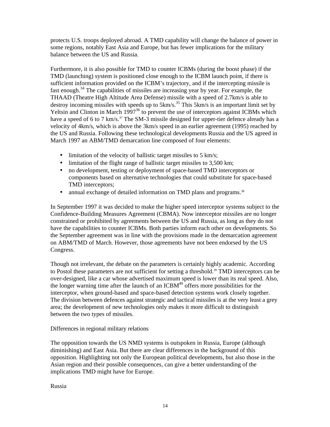protects U.S. troops deployed abroad. A TMD capability will change the balance of power in some regions, notably East Asia and Europe, but has fewer implications for the military balance between the US and Russia.

Furthermore, it is also possible for TMD to counter ICBMs (during the boost phase) if the TMD (launching) system is positioned close enough to the ICBM launch point, if there is sufficient information provided on the ICBM's trajectory, and if the intercepting missile is fast enough.<sup>34</sup> The capabilities of missiles are increasing year by year. For example, the THAAD (Theatre High Altitude Area Defense) missile with a speed of 2.7km/s is able to destroy incoming missiles with speeds up to  $5 \text{km/s}$ .<sup>35</sup> This  $5 \text{km/s}$  is an important limit set by Yeltsin and Clinton in March  $1997^{36}$  to prevent the use of interceptors against ICBMs which have a speed of 6 to 7 km/s.<sup>37</sup> The SM-3 missile designed for upper-tier defence already has a velocity of 4km/s, which is above the 3km/s speed in an earlier agreement (1995) reached by the US and Russia. Following these technological developments Russia and the US agreed in March 1997 an ABM/TMD demarcation line composed of four elements:

- limitation of the velocity of ballistic target missiles to 5 km/s;
- limitation of the flight range of ballistic target missiles to 3,500 km;
- no development, testing or deployment of space-based TMD interceptors or components based on alternative technologies that could substitute for space-based TMD interceptors;
- annual exchange of detailed information on TMD plans and programs.<sup>38</sup>

In September 1997 it was decided to make the higher speed interceptor systems subject to the Confidence-Building Measures Agreement (CBMA). Now interceptor missiles are no longer constrained or prohibited by agreements between the US and Russia, as long as they do not have the capabilities to counter ICBMs. Both parties inform each other on developments. So the September agreement was in line with the provisions made in the demarcation agreement on ABM/TMD of March. However, those agreements have not been endorsed by the US Congress.

Though not irrelevant, the debate on the parameters is certainly highly academic. According to Postol these parameters are not sufficient for setting a threshold.<sup>39</sup> TMD interceptors can be over-designed, like a car whose advertised maximum speed is lower than its real speed. Also, the longer warning time after the launch of an  $ICBM<sup>40</sup>$  offers more possibilities for the interceptor, when ground-based and space-based detection systems work closely together. The division between defences against strategic and tactical missiles is at the very least a grey area; the development of new technologies only makes it more difficult to distinguish between the two types of missiles.

#### Differences in regional military relations

The opposition towards the US NMD systems is outspoken in Russia, Europe (although diminishing) and East Asia. But there are clear differences in the background of this opposition. Highlighting not only the European political developments, but also those in the Asian region and their possible consequences, can give a better understanding of the implications TMD might have for Europe.

Russia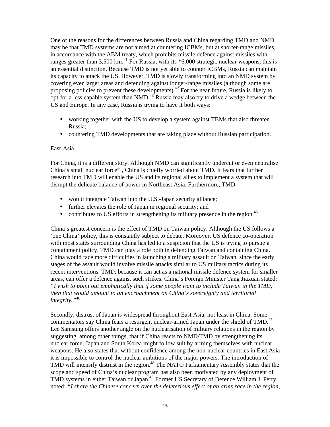One of the reasons for the differences between Russia and China regarding TMD and NMD may be that TMD systems are not aimed at countering ICBMs, but at shorter-range missiles, in accordance with the ABM treaty, which prohibits missile defence against missiles with ranges greater than  $3,500 \text{ km}$ <sup>41</sup> For Russia, with its  $*6,000$  strategic nuclear weapons, this is an essential distinction. Because TMD is not yet able to counter ICBMs, Russia can maintain its capacity to attack the US. However, TMD is slowly transforming into an NMD system by covering ever larger areas and defending against longer-range missiles (although some are proposing policies to prevent these developments).<sup>42</sup> For the near future, Russia is likely to opt for a less capable system than NMD.<sup>43</sup> Russia may also try to drive a wedge between the US and Europe. In any case, Russia is trying to have it both ways:

- working together with the US to develop a system against TBMs that also threaten Russia;
- countering TMD developments that are taking place without Russian participation.

#### East-Asia

For China, it is a different story. Although NMD can significantly undercut or even neutralise China's small nuclear force<sup>44</sup>, China is chiefly worried about TMD. It fears that further research into TMD will enable the US and its regional allies to implement a system that will disrupt the delicate balance of power in Northeast Asia. Furthermore, TMD:

- would integrate Taiwan into the U.S.-Japan security alliance;
- further elevates the role of Japan in regional security; and
- contributes to US efforts in strengthening its military presence in the region. $45$

China's greatest concern is the effect of TMD on Taiwan policy. Although the US follows a 'one China' policy, this is constantly subject to debate. Moreover, US defence co-operation with most states surrounding China has led to a suspicion that the US is trying to pursue a containment policy. TMD can play a role both in defending Taiwan and containing China. China would face more difficulties in launching a military assault on Taiwan, since the early stages of the assault would involve missile attacks similar to US military tactics during its recent interventions. TMD, because it can act as a national missile defence system for smaller areas, can offer a defence against such strikes. China's Foreign Minister Tang Jiaxuan stated: *"I wish to point out emphatically that if some people want to include Taiwan in the TMD, then that would amount to an encroachment on China's sovereignty and territorial integrity."*<sup>46</sup>

Secondly, distrust of Japan is widespread throughout East Asia, not least in China. Some commentators say China fears a resurgent nuclear-armed Japan under the shield of TMD. $47$ Lee Samsung offers another angle on the nuclearisation of military relations in the region by suggesting, among other things, that if China reacts to NMD/TMD by strengthening its nuclear force, Japan and South Korea might follow suit by arming themselves with nuclear weapons. He also states that without confidence among the non-nuclear countries in East Asia it is impossible to control the nuclear ambitions of the major powers. The introduction of TMD will intensify distrust in the region.<sup>48</sup> The NATO Parliamentary Assembly states that the scope and speed of China's nuclear program has also been motivated by any deployment of TMD systems in either Taiwan or Japan.<sup>49</sup> Former US Secretary of Defence William J. Perry noted: *"I share the Chinese concern over the deleterious effect of an arms race in the region,*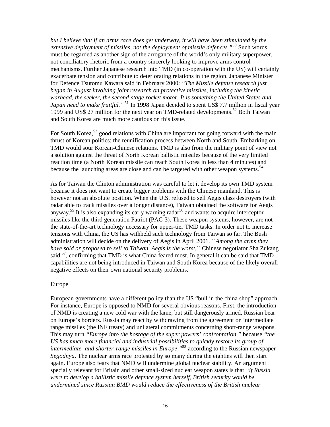*but I believe that if an arms race does get underway, it will have been stimulated by the extensive deployment of missiles, not the deployment of missile defences."*<sup>50</sup> Such words must be regarded as another sign of the arrogance of the world's only military superpower, not conciliatory rhetoric from a country sincerely looking to improve arms control mechanisms. Further Japanese research into TMD (in co-operation with the US) will certainly exacerbate tension and contribute to deteriorating relations in the region. Japanese Minister for Defence Tsutomu Kawara said in February 2000: *"The Missile defense research just began in August involving joint research on protective missiles, including the kinetic warhead, the seeker, the second-stage rocket motor. It is something the United States and Japan need to make fruitful."* <sup>51</sup> In 1998 Japan decided to spent US\$ 7.7 million in fiscal year 1999 and US\$ 27 million for the next year on TMD-related developments.<sup>52</sup> Both Taiwan and South Korea are much more cautious on this issue.

For South Korea,  $53$  good relations with China are important for going forward with the main thrust of Korean politics: the reunification process between North and South. Embarking on TMD would sour Korean-Chinese relations. TMD is also from the military point of view not a solution against the threat of North Korean ballistic missiles because of the very limited reaction time (a North Korean missile can reach South Korea in less than 4 minutes) and because the launching areas are close and can be targeted with other weapon systems. $54$ 

As for Taiwan the Clinton administration was careful to let it develop its own TMD system because it does not want to create bigger problems with the Chinese mainland. This is however not an absolute position. When the U.S. refused to sell Aegis class destroyers (with radar able to track missiles over a longer distance), Taiwan obtained the software for Aegis anyway.<sup>55</sup> It is also expanding its early warning radar<sup>56</sup> and wants to acquire interceptor missiles like the third generation Patriot (PAC-3). These weapon systems, however, are not the state-of-the-art technology necessary for upper-tier TMD tasks. In order not to increase tensions with China, the US has withheld such technology from Taiwan so far. The Bush administration will decide on the delivery of Aegis in April 2001. ``*Among the arms they*  have sold or proposed to sell to Taiwan, Aegis is the worst," Chinese negotiator Sha Zukang said.<sup>57</sup>, confirming that TMD is what China feared most. In general it can be said that TMD capabilities are not being introduced in Taiwan and South Korea because of the likely overall negative effects on their own national security problems.

#### Europe

European governments have a different policy than the US "bull in the china shop" approach. For instance, Europe is opposed to NMD for several obvious reasons. First, the introduction of NMD is creating a new cold war with the lame, but still dangerously armed, Russian bear on Europe's borders. Russia may react by withdrawing from the agreement on intermediate range missiles (the INF treaty) and unilateral commitments concerning short-range weapons. This may turn *"Europe into the hostage of the super powers' confrontation,"* because *"the US has much more financial and industrial possibilities to quickly restore its group of intermediate- and shorter-range missiles in Europe,"*<sup>58</sup> according to the Russian newspaper *Segodnya*. The nuclear arms race protested by so many during the eighties will then start again. Europe also fears that NMD will undermine global nuclear stability. An argument specially relevant for Britain and other small-sized nuclear weapon states is that *"if Russia were to develop a ballistic missile defence system herself, British security would be undermined since Russian BMD would reduce the effectiveness of the British nuclear*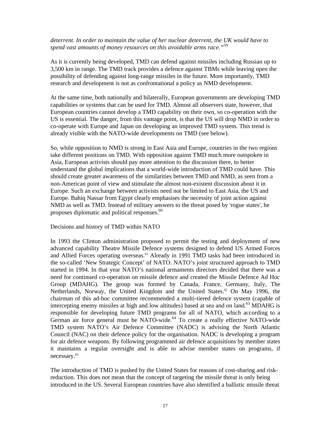#### *deterrent. In order to maintain the value of her nuclear deterrent, the UK would have to spend vast amounts of money resources on this avoidable arms race."*<sup>59</sup>

As it is currently being developed, TMD can defend against missiles including Russian up to 3,500 km in range. The TMD track provides a defence against TBMs while leaving open the possibility of defending against long-range missiles in the future. More importantly, TMD research and development is not as confrontational a policy as NMD development.

At the same time, both nationally and bilaterally, European governments are developing TMD capabilities or systems that can be used for TMD. Almost all observers state, however, that European countries cannot develop a TMD capability on their own, so co-operation with the US is essential. The danger, from this vantage point, is that the US will drop NMD in order to co-operate with Europe and Japan on developing an improved TMD system. This trend is already visible with the NATO-wide developments on TMD (see below).

So, while opposition to NMD is strong in East Asia and Europe, countries in the two regions take different positions on TMD. With opposition against TMD much more outspoken in Asia, European activists should pay more attention to the discussion there, to better understand the global implications that a world-wide introduction of TMD could have. This should create greater awareness of the similarities between TMD and NMD, as seen from a non-American point of view and stimulate the almost non-existent discussion about it in Europe. Such an exchange between activists need not be limited to East Asia, the US and Europe. Bahiq Nassar from Egypt clearly emphasises the necessity of joint action against NMD as well as TMD. Instead of military answers to the threat posed by 'rogue states', he proposes diplomatic and political responses.<sup>60</sup>

#### Decisions and history of TMD within NATO

In 1993 the Clinton administration proposed to permit the testing and deployment of new advanced capability Theatre Missile Defence systems designed to defend US Armed Forces and Allied Forces operating overseas.<sup>61</sup> Already in 1991 TMD tasks had been introduced in the so-called 'New Strategic Concept' of NATO. NATO's joint structured approach to TMD started in 1994. In that year NATO's national armaments directors decided that there was a need for continued co-operation on missile defence and created the Missile Defence Ad Hoc Group (MDAHG). The group was formed by Canada, France, Germany, Italy, The Netherlands, Norway, the United Kingdom and the United States.<sup>62</sup> On May 1996, the chairman of this ad-hoc committee recommended a multi-tiered defence system (capable of intercepting enemy missiles at high and low altitudes) based at sea and on land.<sup>63</sup> MDAHG is responsible for developing future TMD programs for all of NATO, which according to a German air force general must be NATO-wide. $64$  To create a really effective NATO-wide TMD system NATO's Air Defence Committee (NADC) is advising the North Atlantic Council (NAC) on their defence policy for the organisation. NADC is developing a program for air defence weapons. By following programmed air defence acquisitions by member states it maintains a regular oversight and is able to advise member states on programs, if necessary.<sup>65</sup>

The introduction of TMD is pushed by the United States for reasons of cost-sharing and riskreduction. This does not mean that the concept of targeting the missile threat is only being introduced in the US. Several European countries have also identified a ballistic missile threat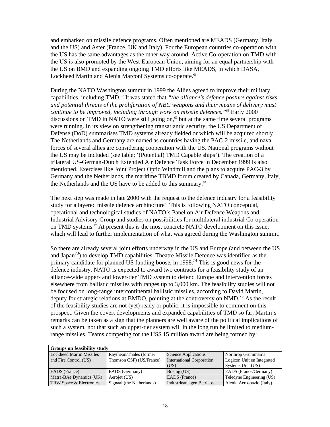and embarked on missile defence programs. Often mentioned are MEADS (Germany, Italy and the US) and Aster (France, UK and Italy). For the European countries co-operation with the US has the same advantages as the other way around. Active Co-operation on TMD with the US is also promoted by the West European Union, aiming for an equal partnership with the US on BMD and expanding ongoing TMD efforts like MEADS, in which DASA, Lockheed Martin and Alenia Marconi Systems co-operate.<sup>66</sup>

During the NATO Washington summit in 1999 the Allies agreed to improve their military capabilities, including TMD.<sup>67</sup> It was stated that *"the alliance's defence posture against risks and potential threats of the proliferation of NBC weapons and their means of delivery must continue to be improved, including through work on missile defences.*"<sup>68</sup> Early 2000 discussions on TMD in NATO were still going on, $\frac{69}{10}$  but at the same time several programs were running. In its view on strengthening transatlantic security, the US Department of Defense (DoD) summarises TMD systems already fielded or which will be acquired shortly. The Netherlands and Germany are named as countries having the PAC-2 missile, and naval forces of several allies are considering cooperation with the US. National programs without the US may be included (see table; '(Potential) TMD Capable ships'). The creation of a trilateral US-German-Dutch Extended Air Defence Task Force in December 1999 is also mentioned. Exercises like Joint Project Optic Windmill and the plans to acquire PAC-3 by Germany and the Netherlands, the maritime TBMD forum created by Canada, Germany, Italy, the Netherlands and the US have to be added to this summary.<sup>70</sup>

The next step was made in late 2000 with the request to the defence industry for a feasibility study for a layered missile defence architecture<sup> $71$ </sup> This is following NATO conceptual, operational and technological studies of NATO's Panel on Air Defence Weapons and Industrial Advisory Group and studies on possibilities for multilateral industrial Co-operation on TMD systems.<sup>72</sup> At present this is the most concrete NATO development on this issue, which will lead to further implementation of what was agreed during the Washington summit.

So there are already several joint efforts underway in the US and Europe (and between the US and Japan<sup>73</sup>) to develop TMD capabilities. Theatre Missile Defence was identified as the primary candidate for planned US funding boosts in 1998.<sup>74</sup> This is good news for the defence industry. NATO is expected to award two contracts for a feasibility study of an alliance-wide upper- and lower-tier TMD system to defend Europe and intervention forces elsewhere from ballistic missiles with ranges up to 3,000 km. The feasibility studies will not be focused on long-range intercontinental ballistic missiles, according to David Martin, deputy for strategic relations at BMDO, pointing at the controversy on NMD.<sup>75</sup> As the result of the feasibility studies are not (yet) ready or public, it is impossible to comment on this prospect. Given the covert developments and expanded capabilities of TMD so far, Martin's remarks can be taken as a sign that the planners are well aware of the political implications of such a system, not that such an upper-tier system will in the long run be limited to mediumrange missiles. Teams competing for the US\$ 15 million award are being formed by:

| <b>Groups on feasibility study</b> |                           |                                  |                            |  |  |
|------------------------------------|---------------------------|----------------------------------|----------------------------|--|--|
| Lockheed Martin Missiles           | Raytheon/Thales (former)  | Science Applications             | Northrop Grumman's         |  |  |
| and Fire Control (US)              | Thomson CSF) (US/France)  | <b>International Corporation</b> | Logicon Unit en Integrated |  |  |
|                                    |                           | (US)                             | Systems Unit (US)          |  |  |
| <b>EADS</b> (France)               | EADS (Germany)            | Boeing (US)                      | EADS (France/Germany)      |  |  |
| Matra-BAe Dynamics (UK)            | Aerojet (US)              | EADS (France)                    | Teledyne Engineering (US)  |  |  |
| <b>TRW Space &amp; Electronics</b> | Signaal (the Netherlands) | <b>Industrieanlagen Betriebs</b> | Alenia Aerospazio (Italy)  |  |  |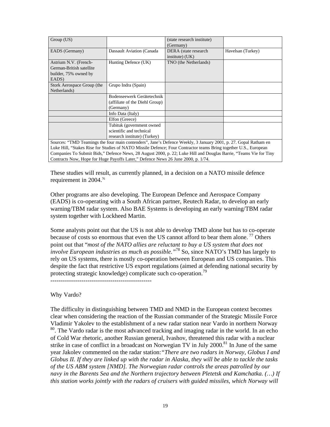| Group (US)                                                                                                      |                                                                                                         | (state research institute)<br>(Germany) |                   |  |  |
|-----------------------------------------------------------------------------------------------------------------|---------------------------------------------------------------------------------------------------------|-----------------------------------------|-------------------|--|--|
| EADS (Germany)                                                                                                  | Dassault Aviation (Canada                                                                               | DERA (state research<br>institute) (UK) | Havelsan (Turkey) |  |  |
| Astrium N.V. (French-<br>German-British satellite<br>builder, 75% owned by<br>EADS)                             | Hunting Defence (UK)                                                                                    | TNO (the Netherlands)                   |                   |  |  |
| Stork Aerospace Group (the<br>Netherlands)                                                                      | Grupo Indra (Spain)                                                                                     |                                         |                   |  |  |
|                                                                                                                 | Bodenseewerk Gerätetechnik<br>(affiliate of the Diehl Group)<br>(Germany)                               |                                         |                   |  |  |
|                                                                                                                 | Info Data (Italy)                                                                                       |                                         |                   |  |  |
|                                                                                                                 | Elfon (Greece)<br>Tubituk (government owned<br>scientific and technical<br>research institute) (Turkey) |                                         |                   |  |  |
| Sources: "TMD Teamings the four main contenders", Jane's Defence Weekly, 3 January 2001, p. 27. Gopal Ratham en |                                                                                                         |                                         |                   |  |  |

Luke Hill, "Stakes Rise for Studies of NATO Missile Defence; Four Contractor teams Bring together U.S., European Companies To Submit Bids," Defence News, 28 August 2000, p. 22; Luke Hill and Douglas Barrie, "Teams Vie for Tiny Contracts Now, Hope for Huge Payoffs Later," Defence News 26 June 2000, p. 1/74.

These studies will result, as currently planned, in a decision on a NATO missile defence requirement in 2004.<sup>76</sup>

Other programs are also developing. The European Defence and Aerospace Company (EADS) is co-operating with a South African partner, Reutech Radar, to develop an early warning/TBM radar system. Also BAE Systems is developing an early warning/TBM radar system together with Lockheed Martin.

Some analysts point out that the US is not able to develop TMD alone but has to co-operate because of costs so enormous that even the US cannot afford to bear them alone.<sup>77</sup> Others point out that "*most of the NATO allies are reluctant to buy a US system that does not involve European industries as much as possible."*<sup>78</sup> So, since NATO's TMD has largely to rely on US systems, there is mostly co-operation between European and US companies. This despite the fact that restrictive US export regulations (aimed at defending national security by protecting strategic knowledge) complicate such co-operation.<sup>79</sup>

-------------------------------------------------

Why Vardo?

The difficulty in distinguishing between TMD and NMD in the European context becomes clear when considering the reaction of the Russian commander of the Strategic Missile Force Vladimir Yakolev to the establishment of a new radar station near Vardo in northern Norway <sup>80</sup>. The Vardo radar is the most advanced tracking and imaging radar in the world. In an echo of Cold War rhetoric, another Russian general, Ivashov, threatened this radar with a nuclear strike in case of conflict in a broadcast on Norwegian TV in July  $2000$ <sup>81</sup>. In June of the same year Jakolev commented on the radar station:*"There are two radars in Norway, Globus I and Globus II. If they are linked up with the radar in Alaska, they will be able to tackle the tasks of the US ABM system [NMD]. The Norwegian radar controls the areas patrolled by our navy in the Barents Sea and the Northern trajectory between Pletetsk and Kamchatka. (…) If this station works jointly with the radars of cruisers with guided missiles, which Norway will*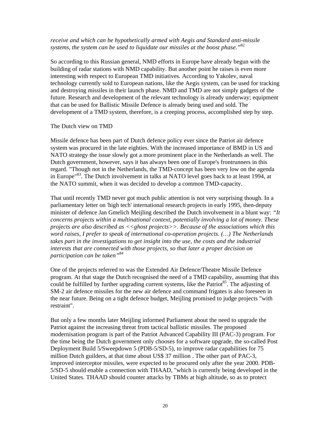#### *receive and which can be hypothetically armed with Aegis and Standard anti-missile systems, the system can be used to liquidate our missiles at the boost phase."*<sup>82</sup>

So according to this Russian general, NMD efforts in Europe have already begun with the building of radar stations with NMD capability. But another point he raises is even more interesting with respect to European TMD initiatives. According to Yakolev, naval technology currently sold to European nations, like the Aegis system, can be used for tracking and destroying missiles in their launch phase. NMD and TMD are not simply gadgets of the future. Research and development of the relevant technology is already underway; equipment that can be used for Ballistic Missile Defence is already being used and sold. The development of a TMD system, therefore, is a creeping process, accomplished step by step.

#### The Dutch view on TMD

Missile defence has been part of Dutch defence policy ever since the Patriot air defence system was procured in the late eighties. With the increased importance of BMD in US and NATO strategy the issue slowly got a more prominent place in the Netherlands as well. The Dutch government, however, says it has always been one of Europe's frontrunners in this regard. "Though not in the Netherlands, the TMD-concept has been very low on the agenda in Europe<sup>"83</sup>. The Dutch involvement in talks at NATO level goes back to at least 1994, at the NATO summit, when it was decided to develop a common TMD-capacity.

That until recently TMD never got much public attention is not very surprising though. In a parliamentary letter on 'high tech' international research projects in early 1995, then-deputy minister of defence Jan Gmelich Meijling described the Dutch involvement in a blunt way: *"It concerns projects within a multinational context, potentially involving a lot of money. These projects are also described as <<ghost projects>>. Because of the associations which this word raises, I prefer to speak of international co-operation projects. (…) The Netherlands takes part in the investigations to get insight into the use, the costs and the industrial interests that are connected with those projects, so that later a proper decision on participation can be taken"<sup>84</sup>*

One of the projects referred to was the Extended Air Defence/Theatre Missile Defence program. At that stage the Dutch recognised the need of a TMD capability, assuming that this could be fulfilled by further upgrading current systems, like the Patriot<sup>85</sup>. The adjusting of SM-2 air defence missiles for the new air defence and command frigates is also foreseen in the near future. Being on a tight defence budget, Meijling promised to judge projects "with restraint".

But only a few months later Meijling informed Parliament about the need to upgrade the Patriot against the increasing threat from tactical ballistic missiles. The proposed modernisation program is part of the Patriot Advanced Capability III (PAC-3) program. For the time being the Dutch government only chooses for a software upgrade, the so-called Post Deployment Build 5/Sweepdown 5 (PDB-5/SD-5), to improve radar capabilities for 75 million Dutch guilders, at that time about US\$ 37 million . The other part of PAC-3, improved interceptor missiles, were expected to be procured only after the year 2000. PDB-5/SD-5 should enable a connection with THAAD, "which is currently being developed in the United States. THAAD should counter attacks by TBMs at high altitude, so as to protect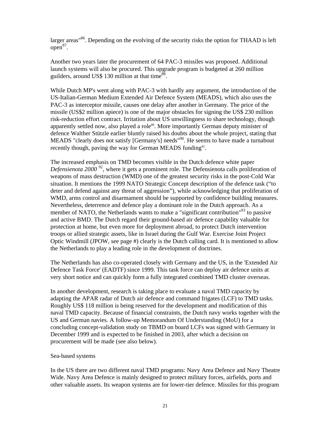larger areas<sup>86</sup>. Depending on the evolving of the security risks the option for THAAD is left  $open<sup>87</sup>$ .

Another two years later the procurement of 64 PAC-3 missiles was proposed. Additional launch systems will also be procured. This upgrade program is budgeted at 260 million guilders, around US\$ 130 million at that time $^8$ <sup>88</sup>.

While Dutch MP's went along with PAC-3 with hardly any argument, the introduction of the US-Italian-German Medium Extended Air Defence System (MEADS), which also uses the PAC-3 as interceptor missile, causes one delay after another in Germany. The price of the missile (US\$2 million apiece) is one of the major obstacles for signing the US\$ 230 million risk-reduction effort contract. Irritation about US unwillingness to share technology, though apparently settled now, also played a role<sup>89</sup>. More importantly German deputy minister of defence Walther Stützle earlier bluntly raised his doubts about the whole project, stating that MEADS "clearly does not satisfy [Germany's] needs"<sup>90</sup>. He seems to have made a turnabout recently though, paving the way for German MEADS funding<sup>91</sup>.

The increased emphasis on TMD becomes visible in the Dutch defence white paper *Defensienota 2000*<sup>92</sup>, where it gets a prominent role. The Defensienota calls proliferation of weapons of mass destruction (WMD) one of the greatest security risks in the post-Cold War situation. It mentions the 1999 NATO Strategic Concept description of the defence task ("to deter and defend against any threat of aggression"), while acknowledging that proliferation of WMD, arms control and disarmament should be supported by confidence building measures. Nevertheless, deterrence and defence play a dominant role in the Dutch approach. As a member of NATO, the Netherlands wants to make a "significant contribution"<sup>93</sup> to passive and active BMD. The Dutch regard their ground-based air defence capability valuable for protection at home, but even more for deployment abroad, to protect Dutch intervention troops or allied strategic assets, like in Israel during the Gulf War. Exercise Joint Project Optic Windmill (JPOW, see page #) clearly is the Dutch calling card. It is mentioned to allow the Netherlands to play a leading role in the development of doctrines.

The Netherlands has also co-operated closely with Germany and the US, in the 'Extended Air Defence Task Force' (EADTF) since 1999. This task force can deploy air defence units at very short notice and can quickly form a fully integrated combined TMD cluster overseas.

In another development, research is taking place to evaluate a naval TMD capacity by adapting the APAR radar of Dutch air defence and command frigates (LCF) to TMD tasks. Roughly US\$ 118 million is being reserved for the development and modification of this naval TMD capacity. Because of financial constraints, the Dutch navy works together with the US and German navies. A follow-up Memorandum Of Understanding (MoU) for a concluding concept-validation study on TBMD on board LCFs was signed with Germany in December 1999 and is expected to be finished in 2003, after which a decision on procurement will be made (see also below).

#### Sea-based systems

In the US there are two different naval TMD programs: Navy Area Defence and Navy Theatre Wide. Navy Area Defence is mainly designed to protect military forces, airfields, ports and other valuable assets. Its weapon systems are for lower-tier defence. Missiles for this program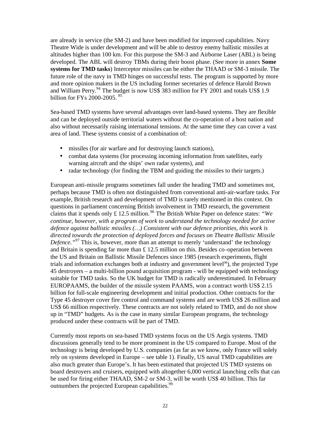are already in service (the SM-2) and have been modified for improved capabilities. Navy Theatre Wide is under development and will be able to destroy enemy ballistic missiles at altitudes higher than 100 km. For this purpose the SM-3 and Airborne Laser (ABL) is being developed. The ABL will destroy TBMs during their boost phase. (See more in annex **Some systems for TMD tasks**) Interceptor missiles can be either the THAAD or SM-3 missile. The future role of the navy in TMD hinges on successful tests. The program is supported by more and more opinion makers in the US including former secretaries of defence Harold Brown and William Perry.<sup>94</sup> The budget is now US\$ 383 million for FY 2001 and totals US\$ 1.9 billion for FY<sub>s</sub> 2000-2005.<sup>95</sup>

Sea-based TMD systems have several advantages over land-based systems. They are flexible and can be deployed outside territorial waters without the co-operation of a host nation and also without necessarily raising international tensions. At the same time they can cover a vast area of land. These systems consist of a combination of:

- missiles (for air warfare and for destroying launch stations),
- combat data systems (for processing incoming information from satellites, early warning aircraft and the ships' own radar systems), and
- radar technology (for finding the TBM and guiding the missiles to their targets.)

European anti-missile programs sometimes fall under the heading TMD and sometimes not, perhaps because TMD is often not distinguished from conventional anti-air-warfare tasks. For example, British research and development of TMD is rarely mentioned in this context. On questions in parliament concerning British involvement in TMD research, the government claims that it spends only £ 12.5 million. <sup>96</sup> The British White Paper on defence states: *"We continue, however, with a program of work to understand the technology needed for active defence against ballistic missiles (…) Consistent with our defence priorities, this work is directed towards the protection of deployed forces and focuses on Theatre Ballistic Missile Defence.*"<sup>97</sup> This is, however, more than an attempt to merely 'understand' the technology and Britain is spending far more than  $\pounds$  12.5 million on this. Besides co-operation between the US and Britain on Ballistic Missile Defences since 1985 (research experiments, flight trials and information exchanges both at industry and government level98), the projected Type 45 destroyers – a multi-billion pound acquisition program - will be equipped with technology suitable for TMD tasks. So the UK budget for TMD is radically underestimated. In February EUROPAAMS, the builder of the missile system PAAMS, won a contract worth US\$ 2.15 billion for full-scale engineering development and initial production. Other contracts for the Type 45 destroyer cover fire control and command systems and are worth US\$ 26 million and US\$ 66 million respectively. These contracts are not solely related to TMD, and do not show up in "TMD" budgets. As is the case in many similar European programs, the technology produced under these contracts will be part of TMD.

Currently most reports on sea-based TMD systems focus on the US Aegis systems. TMD discussions generally tend to be more prominent in the US compared to Europe. Most of the technology is being developed by U.S. companies (as far as we know, only France will solely rely on systems developed in Europe – see table 1). Finally, US naval TMD capabilities are also much greater than Europe's. It has been estimated that projected US TMD systems on board destroyers and cruisers, equipped with altogether 6,000 vertical launching cells that can be used for firing either THAAD, SM-2 or SM-3, will be worth US\$ 40 billion. This far outnumbers the projected European capabilities.<sup>99</sup>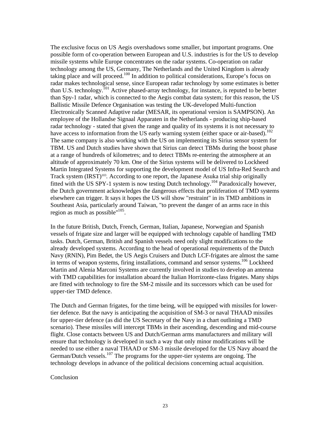The exclusive focus on US Aegis overshadows some smaller, but important programs. One possible form of co-operation between European and U.S. industries is for the US to develop missile systems while Europe concentrates on the radar systems. Co-operation on radar technology among the US, Germany, The Netherlands and the United Kingdom is already taking place and will proceed.<sup>100</sup> In addition to political considerations, Europe's focus on radar makes technological sense, since European radar technology by some estimates is better than U.S. technology.<sup>101</sup> Active phased-array technology, for instance, is reputed to be better than Spy-1 radar, which is connected to the Aegis combat data system; for this reason, the US Ballistic Missile Defence Organisation was testing the UK-developed Multi-function Electronically Scanned Adaptive radar (MESAR, its operational version is SAMPSON). An employee of the Hollandse Signaal Apparaten in the Netherlands - producing ship-based radar technology - stated that given the range and quality of its systems it is not necessary to have access to information from the US early warning system (either space or air-based).<sup>102</sup> The same company is also working with the US on implementing its Sirius sensor system for TBM. US and Dutch studies have shown that Sirius can detect TBMs during the boost phase at a range of hundreds of kilometres; and to detect TBMs re-entering the atmosphere at an altitude of approximately 70 km. One of the Sirius systems will be delivered to Lockheed Martin Integrated Systems for supporting the development model of US Infra-Red Search and Track system (IRST)<sup>103</sup>. According to one report, the Japanese Asuka trial ship originally fitted with the US SPY-1 system is now testing Dutch technology.<sup>104</sup> Paradoxically however, the Dutch government acknowledges the dangerous effects that proliferation of TMD systems elsewhere can trigger. It says it hopes the US will show "restraint" in its TMD ambitions in Southeast Asia, particularly around Taiwan, "to prevent the danger of an arms race in this region as much as possible" $105$ .

In the future British, Dutch, French, German, Italian, Japanese, Norwegian and Spanish vessels of frigate size and larger will be equipped with technology capable of handling TMD tasks. Dutch, German, British and Spanish vessels need only slight modifications to the already developed systems. According to the head of operational requirements of the Dutch Navy (RNlN), Pim Bedet, the US Aegis Cruisers and Dutch LCF-frigates are almost the same in terms of weapon systems, firing installations, command and sensor systems.<sup>106</sup> Lockheed Martin and Alenia Marconi Systems are currently involved in studies to develop an antenna with TMD capabilities for installation aboard the Italian Horrizonte-class frigates. Many ships are fitted with technology to fire the SM-2 missile and its successors which can be used for upper-tier TMD defence.

The Dutch and German frigates, for the time being, will be equipped with missiles for lowertier defence. But the navy is anticipating the acquisition of SM-3 or naval THAAD missiles for upper-tier defence (as did the US Secretary of the Navy in a chart outlining a TMD scenario). These missiles will intercept TBMs in their ascending, descending and mid-course flight. Close contacts between US and Dutch/German arms manufacturers and military will ensure that technology is developed in such a way that only minor modifications will be needed to use either a naval THAAD or SM-3 missile developed for the US Navy aboard the German/Dutch vessels.<sup>107</sup> The programs for the upper-tier systems are ongoing. The technology develops in advance of the political decisions concerning actual acquisition.

#### Conclusion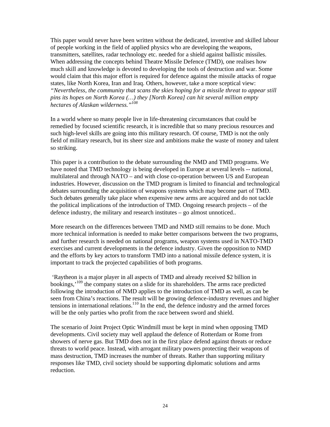This paper would never have been written without the dedicated, inventive and skilled labour of people working in the field of applied physics who are developing the weapons, transmitters, satellites, radar technology etc. needed for a shield against ballistic missiles. When addressing the concepts behind Theatre Missile Defence (TMD), one realises how much skill and knowledge is devoted to developing the tools of destruction and war. Some would claim that this major effort is required for defence against the missile attacks of rogue states, like North Korea, Iran and Iraq. Others, however, take a more sceptical view: *"Nevertheless, the community that scans the skies hoping for a missile threat to appear still pins its hopes on North Korea (…) they [North Korea] can hit several million empty hectares of Alaskan wilderness."<sup>108</sup>*

In a world where so many people live in life-threatening circumstances that could be remedied by focused scientific research, it is incredible that so many precious resources and such high-level skills are going into this military research. Of course, TMD is not the only field of military research, but its sheer size and ambitions make the waste of money and talent so striking.

This paper is a contribution to the debate surrounding the NMD and TMD programs. We have noted that TMD technology is being developed in Europe at several levels -- national, multilateral and through NATO – and with close co-operation between US and European industries. However, discussion on the TMD program is limited to financial and technological debates surrounding the acquisition of weapons systems which may become part of TMD. Such debates generally take place when expensive new arms are acquired and do not tackle the political implications of the introduction of TMD. Ongoing research projects – of the defence industry, the military and research institutes – go almost unnoticed..

More research on the differences between TMD and NMD still remains to be done. Much more technical information is needed to make better comparisons between the two programs, and further research is needed on national programs, weapon systems used in NATO-TMD exercises and current developments in the defence industry. Given the opposition to NMD and the efforts by key actors to transform TMD into a national missile defence system, it is important to track the projected capabilities of both programs.

 'Raytheon is a major player in all aspects of TMD and already received \$2 billion in bookings,<sup>109</sup> the company states on a slide for its shareholders. The arms race predicted following the introduction of NMD applies to the introduction of TMD as well, as can be seen from China's reactions. The result will be growing defence-industry revenues and higher tensions in international relations.<sup>110</sup> In the end, the defence industry and the armed forces will be the only parties who profit from the race between sword and shield.

The scenario of Joint Project Optic Windmill must be kept in mind when opposing TMD developments. Civil society may well applaud the defence of Rotterdam or Rome from showers of nerve gas. But TMD does not in the first place defend against threats or reduce threats to world peace. Instead, with arrogant military powers protecting their weapons of mass destruction, TMD increases the number of threats. Rather than supporting military responses like TMD, civil society should be supporting diplomatic solutions and arms reduction.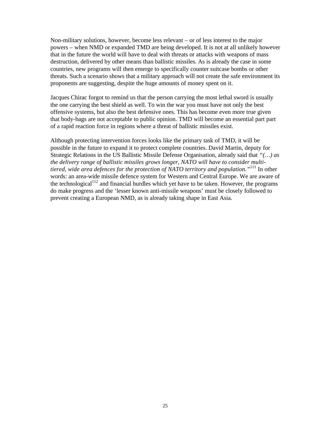Non-military solutions, however, become less relevant – or of less interest to the major powers – when NMD or expanded TMD are being developed. It is not at all unlikely however that in the future the world will have to deal with threats or attacks with weapons of mass destruction, delivered by other means than ballistic missiles. As is already the case in some countries, new programs will then emerge to specifically counter suitcase bombs or other threats. Such a scenario shows that a military approach will not create the safe environment its proponents are suggesting, despite the huge amounts of money spent on it.

Jacques Chirac forgot to remind us that the person carrying the most lethal sword is usually the one carrying the best shield as well. To win the war you must have not only the best offensive systems, but also the best defensive ones. This has become even more true given that body-bags are not acceptable to public opinion. TMD will become an essential part part of a rapid reaction force in regions where a threat of ballistic missiles exist.

Although protecting intervention forces looks like the primary task of TMD, it will be possible in the future to expand it to protect complete countries. David Martin, deputy for Strategic Relations in the US Ballistic Missile Defense Organisation, already said that *"(…) as the delivery range of ballistic missiles grows longer, NATO will have to consider multitiered, wide area defences for the protection of NATO territory and population."*<sup>111</sup> In other words: an area-wide missile defence system for Western and Central Europe. We are aware of the technological<sup>112</sup> and financial hurdles which yet have to be taken. However, the programs do make progress and the 'lesser known anti-missile weapons' must be closely followed to prevent creating a European NMD, as is already taking shape in East Asia.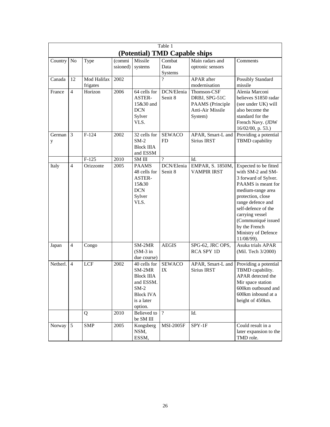| Table 1                       |                |                         |                    |                                                                                                                 |                                  |                                                                                 |                                                                                                                                                                                                                                                                               |
|-------------------------------|----------------|-------------------------|--------------------|-----------------------------------------------------------------------------------------------------------------|----------------------------------|---------------------------------------------------------------------------------|-------------------------------------------------------------------------------------------------------------------------------------------------------------------------------------------------------------------------------------------------------------------------------|
| (Potential) TMD Capable ships |                |                         |                    |                                                                                                                 |                                  |                                                                                 |                                                                                                                                                                                                                                                                               |
| Country                       | N <sub>o</sub> | Type                    | (commi<br>ssioned) | Missile<br>systems                                                                                              | Combat<br>Data<br><b>Systems</b> | Main radars and<br>optronic sensors                                             | Comments                                                                                                                                                                                                                                                                      |
| Canada                        | 12             | Mod Halifax<br>frigates | 2002               |                                                                                                                 | $\overline{\mathcal{L}}$         | <b>APAR</b> after<br>modernisation                                              | Possibly Standard<br>missile                                                                                                                                                                                                                                                  |
| France                        | $\overline{4}$ | Horizon                 | 2006               | 64 cells for<br>ASTER-<br>15&30 and<br><b>DCN</b><br>Sylver<br>VLS.                                             | DCN/Elenia<br>Senit 8            | Thomson-CSF<br>DRBJ, SPG-51C<br>PAAMS (Principle<br>Anti-Air Missile<br>System) | Alenia Marconi<br>believes S1850 radar<br>(see under UK) will<br>also become the<br>standard for the<br>French Navy. (JDW<br>16/02/00, p. 53.)                                                                                                                                |
| German<br>у                   | 3              | $F-124$                 | 2002               | 32 cells for<br>$SM-2$<br><b>Block IIIA</b><br>and ESSM                                                         | <b>SEWACO</b><br><b>FD</b>       | APAR, Smart-L and<br>Sirius IRST                                                | Providing a potential<br>TBMD capability                                                                                                                                                                                                                                      |
|                               |                | $F-125$                 | 2010               | SM III                                                                                                          | $\gamma$                         | Id.                                                                             |                                                                                                                                                                                                                                                                               |
| Italy                         | $\overline{4}$ | Orizzonte               | 2005               | <b>PAAMS</b><br>48 cells for<br>ASTER-<br>15&30<br><b>DCN</b><br>Sylver<br>VLS.                                 | DCN/Elenia<br>Senit 8            | EMPAR, S. 1850M,<br><b>VAMPIR IRST</b>                                          | Expected to be fitted<br>with SM-2 and SM-<br>3 forward of Sylver.<br>PAAMS is meant for<br>medium-range area<br>protection, close<br>range defence and<br>self-defence of the<br>carrying vessel<br>(Communiqué issued<br>by the French<br>Ministry of Defence<br>11/08/99). |
| Japan                         | $\overline{4}$ | Congo                   |                    | SM-2MR<br>$(SM-3)$ in<br>due course)                                                                            | <b>AEGIS</b>                     | SPG-62, JRC OPS,<br><b>RCA SPY 1D</b>                                           | Asuka trials APAR<br>(Mil. Tech 3/2000)                                                                                                                                                                                                                                       |
| Netherl.                      | $\overline{4}$ | <b>LCF</b>              | 2002               | 40 cells for<br>SM-2MR<br><b>Block IIIA</b><br>and ESSM.<br>$SM-2$<br><b>Block IVA</b><br>is a later<br>option. | <b>SEWACO</b><br>IX              | APAR, Smart-L and<br><b>Sirius IRST</b>                                         | Providing a potential<br>TBMD capability.<br>APAR detected the<br>Mir space station<br>600km outbound and<br>600km inbound at a<br>height of 450km.                                                                                                                           |
|                               |                | Q                       | 2010               | Believed to<br>be SM III                                                                                        | $\overline{?}$                   | Id.                                                                             |                                                                                                                                                                                                                                                                               |
| Norway                        | 5              | <b>SMP</b>              | 2005               | Kongsberg<br>NSM,<br>ESSM,                                                                                      | <b>MSI-2005F</b>                 | SPY-1F                                                                          | Could result in a<br>later expansion to the<br>TMD role.                                                                                                                                                                                                                      |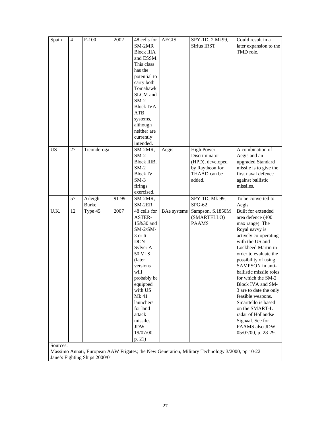| Spain     | $\overline{4}$ | $F-100$      | 2002  | 48 cells for      | <b>AEGIS</b>       | SPY-1D, 2 Mk99,   | Could result in a        |
|-----------|----------------|--------------|-------|-------------------|--------------------|-------------------|--------------------------|
|           |                |              |       | SM-2MR            |                    | Sirius IRST       | later expansion to the   |
|           |                |              |       | <b>Block IIIA</b> |                    |                   | TMD role.                |
|           |                |              |       | and ESSM.         |                    |                   |                          |
|           |                |              |       | This class        |                    |                   |                          |
|           |                |              |       | has the           |                    |                   |                          |
|           |                |              |       | potential to      |                    |                   |                          |
|           |                |              |       | carry both        |                    |                   |                          |
|           |                |              |       | Tomahawk          |                    |                   |                          |
|           |                |              |       | SLCM and          |                    |                   |                          |
|           |                |              |       | $SM-2$            |                    |                   |                          |
|           |                |              |       | <b>Block IVA</b>  |                    |                   |                          |
|           |                |              |       | <b>ATB</b>        |                    |                   |                          |
|           |                |              |       | systems,          |                    |                   |                          |
|           |                |              |       | although          |                    |                   |                          |
|           |                |              |       | neither are       |                    |                   |                          |
|           |                |              |       | currently         |                    |                   |                          |
|           |                |              |       | intended.         |                    |                   |                          |
| <b>US</b> | 27             | Ticonderoga  |       | SM-2MR,           | Aegis              | <b>High Power</b> | A combination of         |
|           |                |              |       | $SM-2$            |                    | Discriminator     | Aegis and an             |
|           |                |              |       | Block IIIB,       |                    | (HPD), developed  | upgraded Standard        |
|           |                |              |       | $SM-2$            |                    | by Raytheon for   | missile is to give the   |
|           |                |              |       | <b>Block IV</b>   |                    | THAAD can be      | first naval defence      |
|           |                |              |       | $SM-3$            |                    | added.            | against ballistic        |
|           |                |              |       | firings           |                    |                   | missiles.                |
|           |                |              |       | exercised.        |                    |                   |                          |
|           | 57             | Arleigh      | 91-99 | SM-2MR,           |                    | SPY-1D, Mk 99,    | To be converted to       |
|           |                | <b>Burke</b> |       | SM-2ER            |                    | $SPG-62$          | Aegis                    |
| U.K.      | 12             | Type 45      | 2007  | 48 cells for      | <b>BAe</b> systems | Sampson, S.1850M  | Built for extended       |
|           |                |              |       | ASTER-            |                    | (SMARTELLO)       | area defence (400        |
|           |                |              |       | 15&30 and         |                    | <b>PAAMS</b>      | max range). The          |
|           |                |              |       | $SM-2/SM-$        |                    |                   | Royal navvy is           |
|           |                |              |       | 3 or 6            |                    |                   | actively co-operating    |
|           |                |              |       | <b>DCN</b>        |                    |                   | with the US and          |
|           |                |              |       | Sylver A          |                    |                   | Lockheed Martin in       |
|           |                |              |       | <b>50 VLS</b>     |                    |                   | order to evaluate the    |
|           |                |              |       | (later            |                    |                   | possibility of using     |
|           |                |              |       | versions          |                    |                   | SAMPSON in anti-         |
|           |                |              |       | will              |                    |                   | ballistic missile roles  |
|           |                |              |       | probably be       |                    |                   | for which the SM-2       |
|           |                |              |       | equipped          |                    |                   | <b>Block IVA and SM-</b> |
|           |                |              |       | with US           |                    |                   | 3 are to date the only   |
|           |                |              |       | Mk 41             |                    |                   | feasible weapons.        |
|           |                |              |       | launchers         |                    |                   | Smarttello is based      |
|           |                |              |       | for land          |                    |                   | on the SMART-L           |
|           |                |              |       | attack            |                    |                   | radar of Hollandse       |
|           |                |              |       | missiles.         |                    |                   | Signaal. See for         |
|           |                |              |       | <b>JDW</b>        |                    |                   | PAAMS also JDW           |
|           |                |              |       | 19/07/00,         |                    |                   | 05/07/00, p. 28-29.      |
|           |                |              |       | p. 21)            |                    |                   |                          |

Sources:

Massimo Annati, European AAW Frigates; the New Generation, Military Technology 3/2000, pp 10-22 Jane's Fighting Ships 2000/01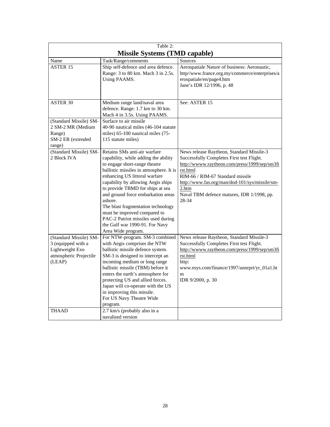| Table 2:                                                                                            |                                                                                                                                                                                                                                                                                                                                                                                                                                                                                  |                                                                                                                                                                                                                                                                                                           |  |  |  |  |
|-----------------------------------------------------------------------------------------------------|----------------------------------------------------------------------------------------------------------------------------------------------------------------------------------------------------------------------------------------------------------------------------------------------------------------------------------------------------------------------------------------------------------------------------------------------------------------------------------|-----------------------------------------------------------------------------------------------------------------------------------------------------------------------------------------------------------------------------------------------------------------------------------------------------------|--|--|--|--|
|                                                                                                     | <b>Missile Systems (TMD capable)</b>                                                                                                                                                                                                                                                                                                                                                                                                                                             |                                                                                                                                                                                                                                                                                                           |  |  |  |  |
| Name                                                                                                | Task/Range/comments                                                                                                                                                                                                                                                                                                                                                                                                                                                              | Sources                                                                                                                                                                                                                                                                                                   |  |  |  |  |
| <b>ASTER 15</b>                                                                                     | Ship self-defence and area defence.<br>Range: 3 to 80 km. Mach 3 in 2.5s.<br>Using PAAMS.                                                                                                                                                                                                                                                                                                                                                                                        | Aerospatiale Nature of business: Aeronautic,<br>http//www.france.org.my/commerce/enterprises/a<br>erospatiale/en/page4.htm<br>Jane's IDR 12/1996, p. 48                                                                                                                                                   |  |  |  |  |
| <b>ASTER 30</b>                                                                                     | Medium range land/naval area<br>defence. Range: 1.7 km to 30 km.<br>Mach 4 in 3.5s. Using PAAMS.                                                                                                                                                                                                                                                                                                                                                                                 | See: ASTER 15                                                                                                                                                                                                                                                                                             |  |  |  |  |
| (Standard Missile) SM-<br>2 SM-2 MR (Medium<br>Range)<br>SM-2 ER (extended<br>range)                | Surface to air missile<br>40-90 nautical miles (46-104 statute<br>miles) 65-100 nautical miles (75-<br>115 statute miles)                                                                                                                                                                                                                                                                                                                                                        |                                                                                                                                                                                                                                                                                                           |  |  |  |  |
| (Standard Missile) SM-<br>2 Block IVA                                                               | Retains SMs anti-air warfare<br>capability, while adding the ability<br>to engage short-range theatre<br>ballistic missiles in atmosphere. It is<br>enhancing US littoral warfare<br>capability by allowing Aegis ships<br>to provide TBMD for ships at sea<br>and ground force embarkation areas<br>ashore.<br>The blast fragmentation technology<br>must be improved compared to<br>PAC-2 Patriot missiles used during<br>the Gulf war 1990-91. For Navy<br>Area Wide program. | News release Raytheon, Standard Missile-3<br>Successfully Completes First test Flight.<br>http://wwww.raytheon.com/press/1999/sep/sm3fi<br>rst.html<br>RIM-66 / RIM-67 Standard missile<br>http://www.fas.org/man/dod-101/sys/missile/sm-<br>2.htm<br>Naval TBM defence matures, IDR 1/1998, pp.<br>28-34 |  |  |  |  |
| (Standard Missile) SM-<br>3 (equipped with a<br>Lightweight Exo<br>atmospheric Projectile<br>(LEAP) | For NTW-program. SM-3 combined<br>with Aegis comprises the NTW<br>ballistic missile defence system.<br>SM-3 is designed to intercept an<br>incoming medium or long range<br>ballistic missile (TBM) before it<br>enters the earth's atmosphere for<br>protecting US and allied forces.<br>Japan will co-operate with the US<br>in improving this missile.<br>For US Navy Theatre Wide<br>program.                                                                                | News release Raytheon, Standard Missile-3<br>Successfully Completes First test Flight.<br>http://wwww.raytheon.com/press/1999/sep/sm3fi<br>rst.html<br>http:<br>www.esys.com/finance/1997/annrprt/yr_01a1.ht<br>m<br>IDR 9/2000, p. 30                                                                    |  |  |  |  |
| <b>THAAD</b>                                                                                        | 2.7 km/s (probably also in a<br>navalised version                                                                                                                                                                                                                                                                                                                                                                                                                                |                                                                                                                                                                                                                                                                                                           |  |  |  |  |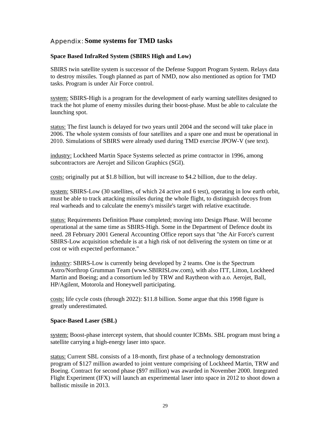#### Appendix: **Some systems for TMD tasks**

#### **Space Based InfraRed System (SBIRS High and Low)**

SBIRS twin satellite system is successor of the Defense Support Program System. Relays data to destroy missiles. Tough planned as part of NMD, now also mentioned as option for TMD tasks. Program is under Air Force control.

system: SBIRS-High is a program for the development of early warning satellites designed to track the hot plume of enemy missiles during their boost-phase. Must be able to calculate the launching spot.

status: The first launch is delayed for two years until 2004 and the second will take place in 2006. The whole system consists of four satellites and a spare one and must be operational in 2010. Simulations of SBIRS were already used during TMD exercise JPOW-V (see text).

industry: Lockheed Martin Space Systems selected as prime contractor in 1996, among subcontractors are Aerojet and Silicon Graphics (SGI).

costs: originally put at \$1.8 billion, but will increase to \$4.2 billion, due to the delay.

system: SBIRS-Low (30 satellites, of which 24 active and 6 test), operating in low earth orbit, must be able to track attacking missiles during the whole flight, to distinguish decoys from real warheads and to calculate the enemy's missile's target with relative exactitude.

status: Requirements Definition Phase completed; moving into Design Phase. Will become operational at the same time as SBIRS-High. Some in the Department of Defence doubt its need. 28 February 2001 General Accounting Office report says that "the Air Force's current SBIRS-Low acquisition schedule is at a high risk of not delivering the system on time or at cost or with expected performance."

industry: SBIRS-Low is currently being developed by 2 teams. One is the Spectrum Astro/Northrop Grumman Team (www.SBIRISLow.com), with also ITT, Litton, Lockheed Martin and Boeing; and a consortium led by TRW and Raytheon with a.o. Aerojet, Ball, HP/Agilent, Motorola and Honeywell participating.

costs: life cycle costs (through 2022): \$11.8 billion. Some argue that this 1998 figure is greatly underestimated.

#### **Space-Based Laser (SBL)**

system: Boost-phase intercept system, that should counter ICBMs. SBL program must bring a satellite carrying a high-energy laser into space.

status: Current SBL consists of a 18-month, first phase of a technology demonstration program of \$127 million awarded to joint venture comprising of Lockheed Martin, TRW and Boeing. Contract for second phase (\$97 million) was awarded in November 2000. Integrated Flight Experiment (IFX) will launch an experimental laser into space in 2012 to shoot down a ballistic missile in 2013.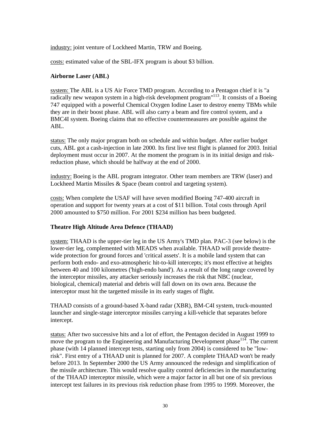industry: joint venture of Lockheed Martin, TRW and Boeing.

costs: estimated value of the SBL-IFX program is about \$3 billion.

#### **Airborne Laser (ABL)**

system: The ABL is a US Air Force TMD program. According to a Pentagon chief it is "a radically new weapon system in a high-risk development program<sup>"113</sup>. It consists of a Boeing 747 equipped with a powerful Chemical Oxygen Iodine Laser to destroy enemy TBMs while they are in their boost phase. ABL will also carry a beam and fire control system, and a BMC4I system. Boeing claims that no effective countermeasures are possible against the ABL.

status: The only major program both on schedule and within budget. After earlier budget cuts, ABL got a cash-injection in late 2000. Its first live test flight is planned for 2003. Initial deployment must occur in 2007. At the moment the program is in its initial design and riskreduction phase, which should be halfway at the end of 2000.

industry: Boeing is the ABL program integrator. Other team members are TRW (laser) and Lockheed Martin Missiles & Space (beam control and targeting system).

costs: When complete the USAF will have seven modified Boeing 747-400 aircraft in operation and support for twenty years at a cost of \$11 billion. Total costs through April 2000 amounted to \$750 million. For 2001 \$234 million has been budgeted.

#### **Theatre High Altitude Area Defence (THAAD)**

system: THAAD is the upper-tier leg in the US Army's TMD plan. PAC-3 (see below) is the lower-tier leg, complemented with MEADS when available. THAAD will provide theatrewide protection for ground forces and 'critical assets'. It is a mobile land system that can perform both endo- and exo-atmospheric hit-to-kill intercepts; it's most effective at heights between 40 and 100 kilometres ('high-endo band'). As a result of the long range covered by the interceptor missiles, any attacker seriously increases the risk that NBC (nuclear, biological, chemical) material and debris will fall down on its own area. Because the interceptor must hit the targetted missile in its early stages of flight.

THAAD consists of a ground-based X-band radar (XBR), BM-C4I system, truck-mounted launcher and single-stage interceptor missiles carrying a kill-vehicle that separates before intercept.

status: After two successive hits and a lot of effort, the Pentagon decided in August 1999 to move the program to the Engineering and Manufacturing Development phase  $114$ . The current phase (with 14 planned intercept tests, starting only from 2004) is considered to be "lowrisk". First entry of a THAAD unit is planned for 2007. A complete THAAD won't be ready before 2013. In September 2000 the US Army announced the redesign and simplification of the missile architecture. This would resolve quality control deficiencies in the manufacturing of the THAAD interceptor missile, which were a major factor in all but one of six previous intercept test failures in its previous risk reduction phase from 1995 to 1999. Moreover, the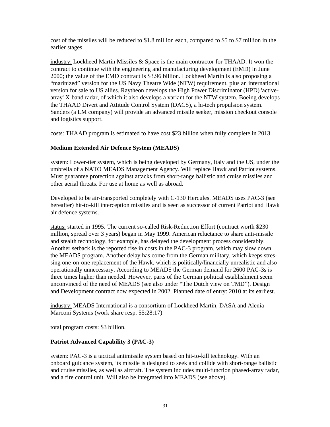cost of the missiles will be reduced to \$1.8 million each, compared to \$5 to \$7 million in the earlier stages.

industry: Lockheed Martin Missiles & Space is the main contractor for THAAD. It won the contract to continue with the engineering and manufacturing development (EMD) in June 2000; the value of the EMD contract is \$3.96 billion. Lockheed Martin is also proposing a "marinized" version for the US Navy Theatre Wide (NTW) requirement, plus an international version for sale to US allies. Raytheon develops the High Power Discriminator (HPD) 'activearray' X-band radar, of which it also develops a variant for the NTW system. Boeing develops the THAAD Divert and Attitude Control System (DACS), a hi-tech propulsion system. Sanders (a LM company) will provide an advanced missile seeker, mission checkout console and logistics support.

costs: THAAD program is estimated to have cost \$23 billion when fully complete in 2013.

#### **Medium Extended Air Defence System (MEADS)**

system: Lower-tier system, which is being developed by Germany, Italy and the US, under the umbrella of a NATO MEADS Management Agency. Will replace Hawk and Patriot systems. Must guarantee protection against attacks from short-range ballistic and cruise missiles and other aerial threats. For use at home as well as abroad.

Developed to be air-transported completely with C-130 Hercules. MEADS uses PAC-3 (see hereafter) hit-to-kill interception missiles and is seen as successor of current Patriot and Hawk air defence systems.

status: started in 1995. The current so-called Risk-Reduction Effort (contract worth \$230 million, spread over 3 years) began in May 1999. American reluctance to share anti-missile and stealth technology, for example, has delayed the development process considerably. Another setback is the reported rise in costs in the PAC-3 program, which may slow down the MEADS program. Another delay has come from the German military, which keeps stressing one-on-one replacement of the Hawk, which is politically/financially unrealistic and also operationally unnecessary. According to MEADS the German demand for 2600 PAC-3s is three times higher than needed. However, parts of the German political establishment seem unconvinced of the need of MEADS (see also under "The Dutch view on TMD"). Design and Development contract now expected in 2002. Planned date of entry: 2010 at its earliest.

industry: MEADS International is a consortium of Lockheed Martin, DASA and Alenia Marconi Systems (work share resp. 55:28:17)

total program costs: \$3 billion.

#### **Patriot Advanced Capability 3 (PAC-3)**

system: PAC-3 is a tactical antimissile system based on hit-to-kill technology. With an onboard guidance system, its missile is designed to seek and collide with short-range ballistic and cruise missiles, as well as aircraft. The system includes multi-function phased-array radar, and a fire control unit. Will also be integrated into MEADS (see above).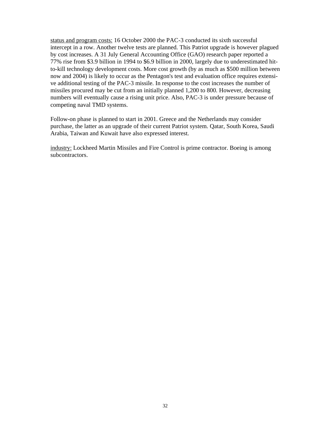status and program costs: 16 October 2000 the PAC-3 conducted its sixth successful intercept in a row. Another twelve tests are planned. This Patriot upgrade is however plagued by cost increases. A 31 July General Accounting Office (GAO) research paper reported a 77% rise from \$3.9 billion in 1994 to \$6.9 billion in 2000, largely due to underestimated hitto-kill technology development costs. More cost growth (by as much as \$500 million between now and 2004) is likely to occur as the Pentagon's test and evaluation office requires extensive additional testing of the PAC-3 missile. In response to the cost increases the number of missiles procured may be cut from an initially planned 1,200 to 800. However, decreasing numbers will eventually cause a rising unit price. Also, PAC-3 is under pressure because of competing naval TMD systems.

Follow-on phase is planned to start in 2001. Greece and the Netherlands may consider purchase, the latter as an upgrade of their current Patriot system. Qatar, South Korea, Saudi Arabia, Taiwan and Kuwait have also expressed interest.

industry: Lockheed Martin Missiles and Fire Control is prime contractor. Boeing is among subcontractors.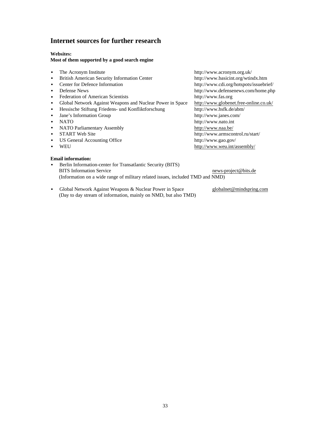#### **Internet sources for further research**

#### **Websites:**

#### **Most of them supported by a good search engine**

- The Acronym Institute http://www.acronym.org.uk/
- British American Security Information Center http://www.basicint.org/wtindx.htm
- 
- 
- Federation of American Scientists http://www.fas.org
- Global Network Against Weapons and Nuclear Power in Space http://www.globenet.free-online.co.uk/
- Hessische Stiftung Friedens- und Konfliktforschung http://www.hsfk.de/abm/
- Jane's Information Group http://www.janes.com/
- 
- NATO Parliamentary Assembly http://www.naa.be/
- 
- 
- 

#### **Email information:**

- Berlin Information-center for Transatlantic Security (BITS) BITS Information Service news-project@bits.de (Information on a wide range of military related issues, included TMD and NMD)
- Global Network Against Weapons & Nuclear Power in Space globalnet@mindspring.com (Day to day stream of information, mainly on NMD, but also TMD)

• Center for Defence Information http://www.cdi.org/hotspots/issuebrief/<br>• Defense News http://www.defensenews.com/home.php • Defense News http://www.defensenews.com/home.php • NATO http://www.nato.int • START Web Site http://www.armscontrol.ru/start/ • US General Accounting Office http://www.gao.gov/<br>• WEU http://www.weu.int/a • WEU http://www.weu.int/assembly/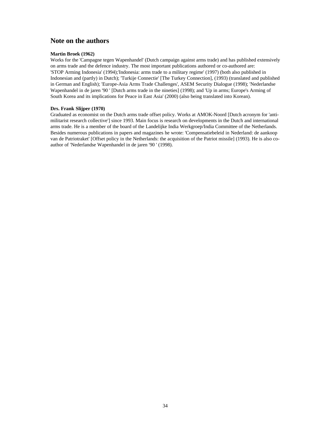#### **Note on the authors**

#### **Martin Broek (1962)**

Works for the 'Campagne tegen Wapenhandel' (Dutch campaign against arms trade) and has published extensively on arms trade and the defence industry. The most important publications authored or co-authored are: 'STOP Arming Indonesia' (1994);'Indonesia: arms trade to a military regime' (1997) (both also published in Indonesian and (partly) in Dutch); 'Turkije Connectie' [The Turkey Connection], (1993) (translated and published in German and English); 'Europe-Asia Arms Trade Challenges', ASEM Security Dialogue (1998); 'Nederlandse Wapenhandel in de jaren '90 ' [Dutch arms trade in the nineties] (1998); and 'Up in arms; Europe's Arming of South Korea and its implications for Peace in East Asia' (2000) (also being translated into Korean).

#### **Drs. Frank Slijper (1970)**

Graduated as economist on the Dutch arms trade offset policy. Works at AMOK-Noord [Dutch acronym for 'antimilitarist research collective'] since 1993. Main focus is research on developments in the Dutch and international arms trade. He is a member of the board of the Landelijke India Werkgroep/India Committee of the Netherlands. Besides numerous publications in papers and magazines he wrote: 'Compensatiebeleid in Nederland: de aankoop van de Patriotraket' [Offset policy in the Netherlands: the acquisition of the Patriot missile] (1993). He is also coauthor of 'Nederlandse Wapenhandel in de jaren '90 ' (1998).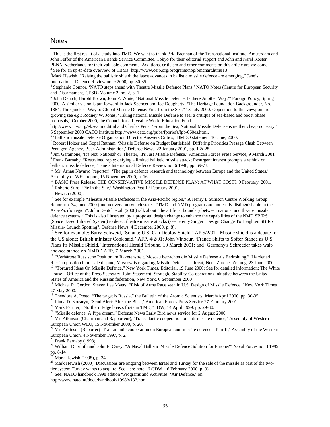#### Notes

1

<sup>1</sup> This is the first result of a study into TMD. We want to thank Brid Brennan of the Transnational Institute, Amsterdam and John Feffer of the American Friends Service Committee, Tokyo for their editorial support and John and Karel Koster, PENN-Netherlands for their valuable comments. Additions, criticism and other comments on this article are welcome.

4 Stephanie Connor, 'NATO steps ahead with Theatre Missile Defence Plans,' NATO Notes (Centre for European Security and Disarmament, CESD) Volume 2, no. 2, p. 1

<sup>5</sup> John Deutch, Harold Brown, John P. White, "National Missile Defence: Is there Another Way?" Foreign Policy, Spring 2000. A similar vision is put forward in Jack Spencer and Joe Dougherty, 'The Heritage Foundation Backgrounder, No. 1384, The Quickest Way to Global Missile Defense: First from the Sea," 13 July 2000. Opposition to this viewpoint is growing see e.g.: Rodney W. Jones, 'Taking national Missile Defense to sea: a critique of sea-based and boost phase proposals,' October 2000, the Council for a Liveable World Education Fund

http://www.clw.org/ef/seanmd.html and Charles Pena, 'From the Sea; National Missile Defense is neither cheap nor easy,' 6 September 2000 CATO Institute http://www.cato.org/pubs/fpbriefs/fpb-060es.html.

6 'Ballistic missile Defense Organisation Director Answers Critics,' BMDO statement 16 June, 2000.

<sup>7</sup> Robert Holzer and Gopal Ratham, 'Missile Defense on Budget Battlefield; Differing Priorities Presage Clash Between Pentagon Agency, Bush Administration,' Defense News, 22 January 2001, pp. 1 & 28.

8 Jim Garamone, 'It's Not 'National' or 'Theater,' It's Just Missile Defense,' American Forces Press Service, 9 March 2001. 9 Frank Barnaby, "Restrained reply: defying a limited ballistic missile attack; Resurgent interest prompts a rethink on ballistic missile defence," Jane's International Defence Review no. 6 1998, pp. 69-73.

 $10$  Mr. Arnau Navarro (reporter), 'The gap in defence research and technology between Europe and the United States,' Assembly of WEU report, 15 November 2000, p. 16.

<sup>11</sup> BASIC Press Release, THE CONSERVATIVE MISSILE DEFENSE PLAN: AT WHAT COST?, 9 February, 2001.

<sup>12</sup> Roberto Suro, 'Pie in the Sky,' Washington Post 12 February 2001.

<sup>13</sup> Hewish (2000).

<sup>14</sup> See for example "Theatre Missile Defences in the Asia-Pacific region," A Henry L Stimson Centre Working Group Report no. 34, June 2000 (internet version) which states: "TMD and NMD programs are not easily distinguishable in the Asia-Pacific region"; John Deutch et.al. (2000) talk about "the artificial boundary between national and theatre missile defence systems." This is also illustrated by a proposed design change to enhance the capabilities of the NMD SBIRS (Space Based Infrared System) to detect theatre missile attacks (see Jeremy Singer "Design Change To Heighten SBIRS Missile- Launch Spotting", Defense News, 4 December 2000, p. 8).

<sup>15</sup> See for example: Barry Schweid, 'Solana: U.S. Can Deploy Shield,' AP 5/2/01; 'Missile shield is a debate for the US alone: British minister Cook said,' AFP, 4/2/01; John Vinocur, 'France Shifts to Softer Stance as U.S. Plans Its Missile Shield,' International Herald Tribune, 10 March 2001; and 'Germany's Schroeder takes waitand-see stance on NMD,' AFP, 7 March 2001.

<sup>16</sup> "Verhärtete Russische Position im Raketenstreit. Moscau betrachtet die Missile Defense als Bedrohung," [Hardened Russian position in missile dispute; Moscow is regarding Missile Defense as threat] Neue Zürcher Zeitung, 23 June 2000 <sup>17</sup> "Tortured Ideas On Missile Defence," New York Times, Editorial, 19 June 2000; See for detailed information: The White House – Office of the Press Secretary, Joint Statement: Strategic Stability Co-operations Initiative between the United States of America and the Russian federation, New York, 6 September 2000

<sup>18</sup> Michael R. Gordon, Steven Lee Myers, "Risk of Arms Race seen in U.S. Design of Missile Defence, "New York Times 27 May 2000.

<sup>19</sup> Theodore A. Postol "The target is Russia," the Bulletin of the Atomic Scientists, March/April 2000, pp. 30-35.

<sup>20</sup> Linda D. Kozaryn, 'Scud Alert: After the Blast,' American Forces Press Service 27 February 2001.

<sup>21</sup> Mark Farmer, "Northern Edge boasts firsts in TMD," JDW, 14 April 1999, pp. 29-30.

<sup>22</sup> "Missile defence: A Pipe dream," Defense News Early Bird news service for 2 August 2000.

<sup>23</sup> Mr. Atkinson (Chairman and Rapporteur), 'Transatlantic cooperation on anti-missile defence,' Assembly of Western European Union WEU, 15 November 2000, p. 20.

<sup>24</sup> Mr. Atkinson (Reporter) 'Transatlantic cooperation on European anti-missile defence – Part II,' Assembly of the Western European Union, 4 November 1997, p. 2.

 $25$  Frank Barnaby (1998)

<sup>26</sup> William D. Smith and John E. Carey, "A Naval Ballistic Missile Defence Solution for Europe?" Naval Forces no. 3 1999, pp. 8-14

Mark Hewish (1998), p. 34

<sup>28</sup> Mark Hewish (2000). Discussions are ongoing between Israel and Turkey for the sale of the missile as part of the twotier system Turkey wants to acquire. See also: note 16 (JDW, 16 February 2000, p. 3).

 $29$  See: NATO handbook 1998 edition "Programs and Activities: 'Air Defence,' on:

http://www.nato.int/docu/handbook/1998/v132.htm

<sup>&</sup>lt;sup>2</sup> See for an up-to-date overview of TBMs: http://www.ceip.org/programs/npp/bmchart.htm#13

 $3$ Mark Hewish, "Raising the ballistic shield; the latest advances in ballistic missile defence are emerging," Jane's International Defence Review no. 9 2000, pp. 30-35.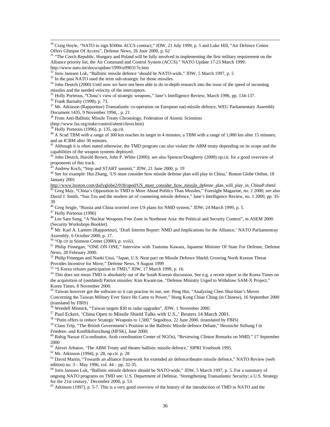<sup>30</sup> Craig Hoyle, "NATO to sign \$500m ACCS contract," JDW, 21 July 1999, p. 5 and Luke Hill, "Air Defence Centre Offers Glimpse Of Access", Defense News, 26 June 2000, p. 62

<sup>31</sup> "The Czech Republic, Hungary and Poland will be fully involved in implementing the first military requirement on the Alliance priority list, the Air Command and Control System (ACCS)." NATO Update 17-23 March 1999: http://www.nato.int/docu/update/1999/u990317e.htm

 $32$  Joris Janssen Lok, "Ballistic missile defence 'should be NATO-wide," JDW, 5 March 1997, p. 5

<sup>34</sup> John Deutch (2000) Until now we have not been able to do in-depth research into the issue of the speed of incoming missiles and the needed velocity of the interceptors.

<sup>35</sup> Holly Porteous, "China's view of strategic weapons," Jane's Intelligence Review, March 1996, pp. 134-137.

<sup>36</sup> Frank Barnaby (1998), p. 73.

 $\overline{a}$ 

<sup>37</sup> Mr. Atkinson (Rapporteur) Transatlantic co-operation on European nati-missile defence, WEU Parliamentary Assembly Document 1435, 9 November 1994, , p. 21

<sup>38</sup> From Anti-Ballistic Missile Treaty Chronology, Federation of Atomic Scientists

(http://www.fas.org/nuke/control/abmt/chron.htm)

 $39$  Holly Porteous (1996), p. 135, op.cit.

<sup>40</sup> A Scud TBM with a range of 300 km reaches its target in 4 minutes; a TBM with a range of 1,000 km after 15 minutes; and an ICBM after 30 minutes.

<sup>41</sup> Although it is often stated otherwise, the TMD program can also violate the ABM treaty depending on its scope and the capabilities of the weapon systems deployed.

<sup>42</sup> John Deutch, Harold Brown, John P. White (2000); see also Spencer/Dougherty (2000) op.cit. for a good overview of proponents of this track.

Andrew Koch, "Stop and START summit," JDW, 21 June 2000, p. 19

44 See for example: Hui Zhang, 'US must consider how missile defense plan will play in China,' Boston Globe Online, 18 January 2001

http://www.boston.com/dailyglobe2/018/oped/US\_must\_consider\_how\_missile\_defense\_plan\_will\_play\_in\_ChinaP.shtml <sup>45</sup> Greg May, "China's Opposition to TMD is More About Politics Than Missiles," Foresight Magazine, no. 2 2000; see also David J. Smith, "Sun Tzu and the modern art of countering missile defence," Jane's Intelligence Review, no. 1 2000, pp. 35- 39

<sup>46</sup> Greg Seigle, "Russia and China worried over US plans for NMD system," JDW, 24 March 1999, p. 5. <sup>47</sup> Holly Porteous (1996)

<sup>48</sup> Lee Sam Sung, "A Nuclear Weapons Free Zone in Northeast Asia: the Political and Security Context", in ASEM 2000 (Security Workshops Booklet).

<sup>49</sup> Mr. Karl A. Lamers (Rapporteur), 'Draft Interim Report: NMD and Implications for the Alliance,' NATO Parliamentray Assembly, 6 October 2000, p. 17.

 $50$  "Op cit in Stimson Center (2000), p. xviii).

<sup>51</sup> Philip Finnegan, "ONE ON ONE," Interview with Tsutomu Kawara, Japanese Minister Of State For Defense, Defense News, 28 February 2000.

<sup>52</sup> Philip Finnegan and Naoki Usui, "Japan, U.S. Near pact on Missile Defence Shield; Growing North Korean Threat Provides Incentive for Move," Defense News, 9 August 1999

<sup>53</sup> "S Korea refuses participation in TMD," JDW, 17 March 1999, p. 16.

<sup>54</sup> This does not mean TMD is absolutely out of the South Korean discussion. See e.g. a recent report in the Korea Times on the acquisition of (outdated) Patriot missiles: Kim Kwant-tae, "Defense Ministry Urged to Withdraw SAM-X Project," Korea Times, 8 November 2000.

<sup>55</sup> Taiwan however got the software so it can practise its use, see: Peng Hui, "Analyzing Chen Shui-bian's Moves Concerning the Taiwan Military Ever Since He Came to Power," Hong Kong Chiao Ching (in Chinese), 16 September 2000 (translated by FBIS)

<sup>56</sup> Wendell Minnick, "Taiwan targets \$30 m radar upgrades", JDW, 1 November 2000.

<sup>57</sup> Paul Eckert, 'China Open to Missile Shield Talks with U.S.,' Reuters 14 March 2001.

<sup>58</sup> "Putin offers to reduce Strategic Weapons to 1,500," Segodnya, 22 June 2000. (translated by FBIS)

<sup>59</sup> Claus Telp, "The British Government's Position in the Ballistic Missile defence Debate," Hessische Stiftung f ür Friedens- und Konfliktforschung (HFSK), June 2000;

<sup>60</sup> Bahig Nassar (Co-ordinator, Arab coordination Center of NGOs), "Reviewing Clinton Remarks on NMD," 17 September 2000

<sup>61</sup> Alexei Arbatov, 'The ABM Treaty and theatre ballistic missile defence,' SIPRI Yearbook 1995.

 $62$  Mr. Atkinson (1994), p. 28, op.cit. p. 28

<sup>63</sup> David Martin, "Towards an alliance framework for extended air defence/theatre missile defence," NATO Review (web edition) no. 3 – May 1996, vol. 44 – pp. 32-35.

<sup>64</sup> Joris Janssen Lok, "Ballistic missile defence should be NATO-wide," JDW, 5 March 1997, p. 5. For a summary of ongoing NATO programs on TMD see: U.S. Department of Defense, 'Strengthening Transatlantic Security; a U.S. Strategy for the 21st century,' December 2000, p. 53.

<sup>65</sup> Atkinson (1997), p. 5-7. This is a very good overview of the history of the introduction of TMD in NATO and the

<sup>&</sup>lt;sup>33</sup> In the past NATO used the term sub-strategic for those missiles.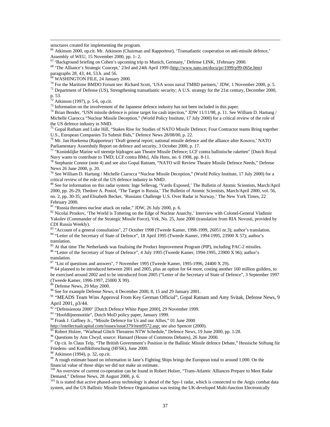structures created for implementing the program.

<sup>66</sup> Atkinson 2000, op.cit. Mr. Atkinson (Chairman and Rapporteur), 'Transatlantic cooperation on anti-missile defence,' Assembly of WEU, 15 November 2000, pp. 1- 2.

<sup>67</sup> 'Background briefing on Cohen's upcoming trip to Munich, Germany,' Defense LINK, 1February 2000.

<sup>68</sup> 'The Alliance's Strategic Concept,' 23rd and 24th April 1999 (http://www.nato.int/docu/pr/1999/p99-065e.htm) paragraphs 28, 43, 44, 53.h. and 56.

 $69$  WASHINGTON FILE, 24 January 2000.

<sup>70</sup> For the Maritime BMDO Forum see: Richard Scott, 'USA woos naval TMBD partners,' JDW, 1 November 2000, p. 5.

 $71$  Department of Defense (US), Strengthening transatlantic security; A U.S. strategy for the 21st century, December 2000, p. 53.

 $72$  Atkinson (1997), p. 5-6, op.cit.

 $\overline{a}$ 

<sup>73</sup> Information on the involvement of the Japanese defence industry has not been included in this paper.

 $^{74}$  Brian Bender, "USN missile defence is prime target for cash injection," JDW 11/11/98, p. 11. See William D. Hartung / Michelle Ciarocca "Nuclear Missile Deception," (World Policy Institute, 17 July 2000) for a critical review of the role of the US defence industry in NMD.

<sup>75</sup> Gopal Ratham and Luke Hill, "Stakes Rise for Studies of NATO Missile Defence; Four Contractor teams Bring together U.S., European Companies To Submit Bids," Defence News 28/08/00, p. 22.

 $^{76}$  Mr. Jan Hoekema (Rapporteur) 'Draft general report; national missile defence and the alliance after Kosovo,' NATO Parliamentary Assembnly Report on defence and security, 3 October 2000, p. 17.

<sup>77</sup> "Koninklijke Marine wil steentje bijdragen aan Theatre Missile Defence; LCF contra ballistische raketten" [Dutch Royal Navy wants to contribute to TMD; LCF contra BMs], Alle Hens, no. 6 1998, pp. 8-11.

<sup>78</sup> Stephanie Connor (note 4) and see also Gopal Ratnam, "NATO will Review Theatre Missile Defence Needs," Defense News 26 June 2000, p. 20.

<sup>79</sup> See William D. Hartung / Michelle Ciarocca "Nuclear Missile Deception," (World Policy Institute, 17 July 2000) for a critical review of the role of the US defence industry in NMD.

<sup>80</sup> See for information on this radar system: Inge Sellevag, 'Vardo Exposed,' The Bulletin of Atomic Scientists, March/April 2000, pp. 26-29; Thedore A. Postol, 'The Target is Russia,' The Bulletin of Atomic Scientists, March/April 2000, vol. 56, no. 2, pp. 30-35; and Elisabeth Becker, 'Russians Challenge U.S. Over Radar in Norway,' The New York Times, 22 February 2000.

<sup>81</sup> "Russia threatens nuclear attack on radar," JDW, 26 July 2000, p. 6.

<sup>82</sup> Nicolai Proskov, 'The World is Tottering on the Edge of Nuclear Anarchy,' Interview with Colonel-General Vladimir Yakolev (Commander of the Strategic Missile Force), Vek, No. 25, June 2000 (translation from RIA Novosti, provided by CDI Russia Weekly).

<sup>83</sup> "Account of a general consultation", 27 October 1998 (Tweede Kamer, 1998-1999, 26051 nr.3); author's translation. 84 "Letter of the Secretary of State of Defence", 18 April 1995 (Tweede Kamer, 1994-1995, 23900 X 57); author's translation.

<sup>85</sup> At that time The Netherlands was finalising the Product Improvement Program (PIP), including PAC-2 missiles.

<sup>86</sup> "Letter of the Secretary of State of Defence", 4 July 1995 (Tweede Kamer, 1994-1995, 23900 X 96); author's translation.

 $87$  "List of questions and answers", 7 November 1995 (Tweede Kamer, 1995-1996, 24400 X 29).

<sup>88</sup> 64 planned to be introduced between 2001 and 2005, plus an option for 64 more, costing another 160 million guilders, to be exercised around 2002 and to be introduced from 2005 ("Letter of the Secretary of State of Defence", 3 September 1997 (Tweede Kamer, 1996-1997, 25000 X 99).

 $89$  Defense News, 29 May 2000.

<sup>90</sup> See for example Defense News, 4 December 2000, 8, 15 and 29 January 2001.

91 "MEADS Team Wins Approval From Key German Official", Gopal Ratnam and Amy Svitak, Defense News, 9 April 2001, p3/44.

<sup>92</sup> "Defensienota 2000" [Dutch Defence White Paper 2000], 29 November 1999.

93 "Hoofdlijnennotitie", Dutch MoD policy paper, January 1999.

<sup>94</sup> Frank J. Gaffney Jr., "Missile Defence for Us and our Allies," 01 June 2000

http://intellectualcapital.com/issues/issue379/item9572.asp; see also Spencer (2000).

<sup>95</sup> Robert Holzer, "Warhead Glitch Threatens NTW Schedule," Defence News, 19 June 2000, pp. 1/28.

<sup>96</sup> Questions by Ann Clwyd, source: Hansard (House of Commons Debates), 26 June 2000.

 $97$  Op cit. In Claus Telp, "The British Government's Position in the Ballistic Missile defence Debate," Hessische Stiftung für Friedens- und Konfliktforschung (HFSK), June 2000.

 $98$  Atkinson (1994), p. 32, op.cit.

<sup>99</sup> A rough estimate based on information in Jane's Fighting Ships brings the European total to around 1,000. On the financial value of those ships we did not make an estimate.

<sup>100</sup> An overview of current co-operation can be found in Robert Holzer, "Trans-Atlantic Alliances Prepare to Meet Radar Demand," Defense News, 28 August 2000, p. 6.

<sup>101</sup> It is stated that active phased-array technology is ahead of the Spy-1 radar, which is connected to the Aegis combat data system, and the US Ballistic Missile Defence Organisation was testing the UK-developed Multi-function Electronically